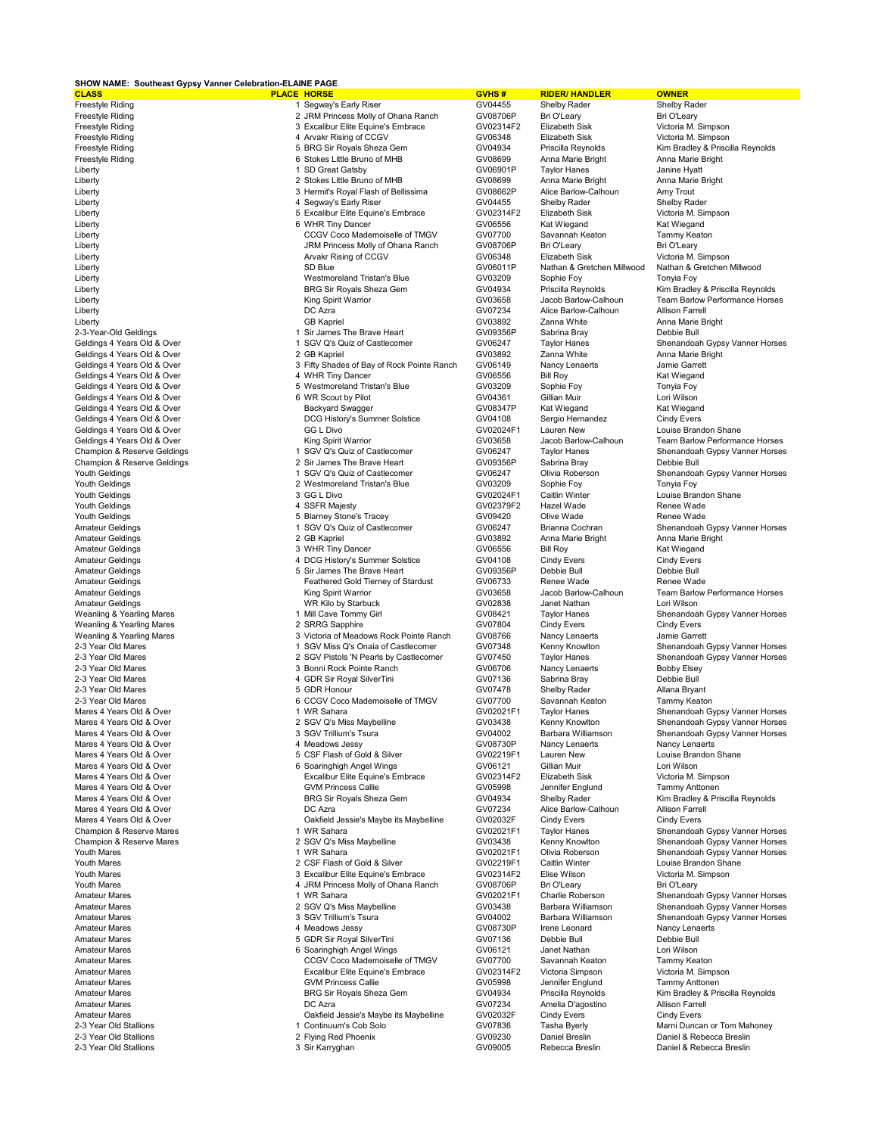| SHOW NAME: Southeast Gypsy Vanner Celebration-ELAINE PAGE  |  |                                                                     |                        |                                           |                                                           |
|------------------------------------------------------------|--|---------------------------------------------------------------------|------------------------|-------------------------------------------|-----------------------------------------------------------|
| <b>CLASS</b>                                               |  | <b>PLACE HORSE</b>                                                  | GVHS#                  | <b>RIDER/HANDLER</b>                      | <b>OWNER</b>                                              |
| Freestyle Riding<br><b>Freestyle Riding</b>                |  | 1 Segway's Early Riser<br>2 JRM Princess Molly of Ohana Ranch       | GV04455<br>GV08706P    | Shelby Rader<br>Bri O'Leary               | Shelby Rader<br>Bri O'Leary                               |
| <b>Freestyle Riding</b>                                    |  | 3 Excalibur Elite Equine's Embrace                                  | GV02314F2              | Elizabeth Sisk                            | Victoria M. Simpson                                       |
| Freestyle Riding                                           |  | 4 Arvakr Rising of CCGV                                             | GV06348                | Elizabeth Sisk                            | Victoria M. Simpson                                       |
| <b>Freestyle Riding</b>                                    |  | 5 BRG Sir Royals Sheza Gem                                          | GV04934                | Priscilla Reynolds                        | Kim Bradley & Priscilla Reynolds                          |
| <b>Freestyle Riding</b>                                    |  | 6 Stokes Little Bruno of MHB                                        | GV08699                | Anna Marie Bright                         | Anna Marie Bright                                         |
| Liberty                                                    |  | 1 SD Great Gatsby                                                   | GV06901P               | <b>Taylor Hanes</b>                       | Janine Hyatt                                              |
| Liberty                                                    |  | 2 Stokes Little Bruno of MHB                                        | GV08699                | Anna Marie Bright                         | Anna Marie Bright                                         |
| Liberty                                                    |  | 3 Hermit's Royal Flash of Bellissima                                | GV08662P               | Alice Barlow-Calhoun                      | Amy Trout                                                 |
| Liberty                                                    |  | 4 Segway's Early Riser                                              | GV04455                | Shelby Rader                              | Shelby Rader                                              |
| Liberty                                                    |  | 5 Excalibur Elite Equine's Embrace                                  | GV02314F2              | Elizabeth Sisk                            | Victoria M. Simpson                                       |
| Liberty                                                    |  | 6 WHR Tiny Dancer                                                   | GV06556                | Kat Wiegand                               | Kat Wiegand                                               |
| Liberty                                                    |  | CCGV Coco Mademoiselle of TMGV<br>JRM Princess Molly of Ohana Ranch | GV07700<br>GV08706P    | Savannah Keaton                           | Tammy Keaton<br>Bri O'Leary                               |
| Liberty<br>Liberty                                         |  | Arvakr Rising of CCGV                                               | GV06348                | Bri O'Leary<br>Elizabeth Sisk             | Victoria M. Simpson                                       |
| Liberty                                                    |  | SD Blue                                                             | GV06011P               | Nathan & Gretchen Millwood                | Nathan & Gretchen Millwood                                |
| Liberty                                                    |  | Westmoreland Tristan's Blue                                         | GV03209                | Sophie Foy                                | Tonyia Foy                                                |
| Liberty                                                    |  | BRG Sir Royals Sheza Gem                                            | GV04934                | Priscilla Reynolds                        | Kim Bradley & Priscilla Reynolds                          |
| Liberty                                                    |  | King Spirit Warrior                                                 | GV03658                | Jacob Barlow-Calhoun                      | Team Barlow Performance Horses                            |
| Liberty                                                    |  | DC Azra                                                             | GV07234                | Alice Barlow-Calhoun                      | Allison Farrell                                           |
| Liberty                                                    |  | <b>GB Kapriel</b>                                                   | GV03892                | Zanna White                               | Anna Marie Bright                                         |
| 2-3-Year-Old Geldings                                      |  | 1 Sir James The Brave Heart                                         | GV09356P               | Sabrina Bray                              | Debbie Bull                                               |
| Geldings 4 Years Old & Over                                |  | 1 SGV Q's Quiz of Castlecomer                                       | GV06247                | <b>Taylor Hanes</b>                       | Shenandoah Gypsy Vanner Horses                            |
| Geldings 4 Years Old & Over                                |  | 2 GB Kapriel                                                        | GV03892                | Zanna White                               | Anna Marie Bright                                         |
| Geldings 4 Years Old & Over<br>Geldings 4 Years Old & Over |  | 3 Fifty Shades of Bay of Rock Pointe Ranch<br>4 WHR Tiny Dancer     | GV06149<br>GV06556     | Nancy Lenaerts<br><b>Bill Roy</b>         | Jamie Garrett<br>Kat Wiegand                              |
| Geldings 4 Years Old & Over                                |  | 5 Westmoreland Tristan's Blue                                       | GV03209                | Sophie Foy                                | Tonyia Foy                                                |
| Geldings 4 Years Old & Over                                |  | 6 WR Scout by Pilot                                                 | GV04361                | Gillian Muir                              | Lori Wilson                                               |
| Geldings 4 Years Old & Over                                |  | <b>Backyard Swagger</b>                                             | GV08347P               | Kat Wiegand                               | Kat Wiegand                                               |
| Geldings 4 Years Old & Over                                |  | DCG History's Summer Solstice                                       | GV04108                | Sergio Hernandez                          | <b>Cindy Evers</b>                                        |
| Geldings 4 Years Old & Over                                |  | <b>GG L Divo</b>                                                    | GV02024F1              | Lauren New                                | Louise Brandon Shane                                      |
| Geldings 4 Years Old & Over                                |  | King Spirit Warrior                                                 | GV03658                | Jacob Barlow-Calhoun                      | Team Barlow Performance Horses                            |
| Champion & Reserve Geldings                                |  | 1 SGV Q's Quiz of Castlecomer                                       | GV06247                | <b>Taylor Hanes</b>                       | Shenandoah Gypsy Vanner Horses                            |
| Champion & Reserve Geldings                                |  | 2 Sir James The Brave Heart                                         | GV09356P               | Sabrina Bray                              | Debbie Bull                                               |
| Youth Geldings                                             |  | 1 SGV Q's Quiz of Castlecomer                                       | GV06247                | Olivia Roberson                           | Shenandoah Gypsy Vanner Horses                            |
| Youth Geldings                                             |  | 2 Westmoreland Tristan's Blue                                       | GV03209                | Sophie Foy                                | Tonyia Foy                                                |
| Youth Geldings<br>Youth Geldings                           |  | 3 GG L Divo<br>4 SSFR Majesty                                       | GV02024F1<br>GV02379F2 | Caitlin Winter<br>Hazel Wade              | Louise Brandon Shane<br>Renee Wade                        |
| Youth Geldings                                             |  | 5 Blarney Stone's Tracey                                            | GV09420                | Olive Wade                                | Renee Wade                                                |
| <b>Amateur Geldings</b>                                    |  | 1 SGV Q's Quiz of Castlecomer                                       | GV06247                | Brianna Cochran                           | Shenandoah Gypsy Vanner Horses                            |
| <b>Amateur Geldings</b>                                    |  | 2 GB Kapriel                                                        | GV03892                | Anna Marie Bright                         | Anna Marie Bright                                         |
| <b>Amateur Geldings</b>                                    |  | 3 WHR Tiny Dancer                                                   | GV06556                | <b>Bill Roy</b>                           | Kat Wiegand                                               |
| <b>Amateur Geldings</b>                                    |  | 4 DCG History's Summer Solstice                                     | GV04108                | <b>Cindy Evers</b>                        | <b>Cindy Evers</b>                                        |
| <b>Amateur Geldings</b>                                    |  | 5 Sir James The Brave Heart                                         | GV09356P               | Debbie Bull                               | Debbie Bull                                               |
| <b>Amateur Geldings</b>                                    |  | Feathered Gold Tierney of Stardust                                  | GV06733                | Renee Wade                                | Renee Wade                                                |
| <b>Amateur Geldings</b>                                    |  | King Spirit Warrior                                                 | GV03658                | Jacob Barlow-Calhoun                      | Team Barlow Performance Horses                            |
| <b>Amateur Geldings</b>                                    |  | WR Kilo by Starbuck                                                 | GV02838                | Janet Nathan                              | Lori Wilson                                               |
| Weanling & Yearling Mares                                  |  | 1 Mill Cave Tommy Girl<br>2 SRRG Sapphire                           | GV08421<br>GV07804     | <b>Taylor Hanes</b><br><b>Cindy Evers</b> | Shenandoah Gypsy Vanner Horses<br><b>Cindy Evers</b>      |
| Weanling & Yearling Mares<br>Weanling & Yearling Mares     |  | 3 Victoria of Meadows Rock Pointe Ranch                             | GV08766                | Nancy Lenaerts                            | Jamie Garrett                                             |
| 2-3 Year Old Mares                                         |  | 1 SGV Miss Q's Onaia of Castlecomer                                 | GV07348                | Kenny Knowlton                            | Shenandoah Gypsy Vanner Horses                            |
| 2-3 Year Old Mares                                         |  | 2 SGV Pistols 'N Pearls by Castlecomer                              | GV07450                | <b>Taylor Hanes</b>                       | Shenandoah Gypsy Vanner Horses                            |
| 2-3 Year Old Mares                                         |  | 3 Bonni Rock Pointe Ranch                                           | GV06706                | Nancy Lenaerts                            | <b>Bobby Elsey</b>                                        |
| 2-3 Year Old Mares                                         |  | 4 GDR Sir Royal SilverTini                                          | GV07136                | Sabrina Bray                              | Debbie Bull                                               |
| 2-3 Year Old Mares                                         |  | 5 GDR Honour                                                        | GV07478                | Shelby Rader                              | Allana Bryant                                             |
| 2-3 Year Old Mares                                         |  | 6 CCGV Coco Mademoiselle of TMGV                                    | GV07700                | Savannah Keaton                           | Tammy Keaton                                              |
| Mares 4 Years Old & Over                                   |  | 1 WR Sahara                                                         | GV02021F1              | <b>Taylor Hanes</b>                       | Shenandoah Gypsy Vanner Horses                            |
| Mares 4 Years Old & Over                                   |  | 2 SGV Q's Miss Maybelline                                           | GV03438                | Kenny Knowlton                            | Shenandoah Gypsy Vanner Horses                            |
| Mares 4 Years Old & Over<br>Mares 4 Years Old & Over       |  | 3 SGV Trillium's Tsura                                              | GV04002<br>GV08730P    | Barbara Williamson                        | Shenandoah Gypsy Vanner Horses<br>Nancy Lenaerts          |
| Mares 4 Years Old & Over                                   |  | 4 Meadows Jessy<br>5 CSF Flash of Gold & Silver                     | GV02219F1              | Nancy Lenaerts<br>Lauren New              | Louise Brandon Shane                                      |
| Mares 4 Years Old & Over                                   |  | 6 Soaringhigh Angel Wings                                           | GV06121                | Gillian Muir                              | Lori Wilson                                               |
| Mares 4 Years Old & Over                                   |  | Excalibur Elite Equine's Embrace                                    | GV02314F2              | Elizabeth Sisk                            | Victoria M. Simpson                                       |
| Mares 4 Years Old & Over                                   |  | <b>GVM Princess Callie</b>                                          | GV05998                | Jennifer Englund                          | Tammy Anttonen                                            |
| Mares 4 Years Old & Over                                   |  | BRG Sir Royals Sheza Gem                                            | GV04934                | Shelby Rader                              | Kim Bradley & Priscilla Reynolds                          |
| Mares 4 Years Old & Over                                   |  | DC Azra                                                             | GV07234                | Alice Barlow-Calhoun                      | <b>Allison Farrell</b>                                    |
| Mares 4 Years Old & Over                                   |  | Oakfield Jessie's Maybe its Maybelline                              | GV02032F               | <b>Cindy Evers</b>                        | <b>Cindy Evers</b>                                        |
| Champion & Reserve Mares                                   |  | 1 WR Sahara                                                         | GV02021F1              | <b>Taylor Hanes</b>                       | Shenandoah Gypsy Vanner Horses                            |
| Champion & Reserve Mares                                   |  | 2 SGV Q's Miss Maybelline                                           | GV03438                | Kenny Knowlton                            | Shenandoah Gypsy Vanner Horses                            |
| Youth Mares<br>Youth Mares                                 |  | 1 WR Sahara<br>2 CSF Flash of Gold & Silver                         | GV02021F1<br>GV02219F1 | Olivia Roberson<br>Caitlin Winter         | Shenandoah Gypsy Vanner Horses<br>Louise Brandon Shane    |
| Youth Mares                                                |  | 3 Excalibur Elite Equine's Embrace                                  | GV02314F2              | Elise Wilson                              | Victoria M. Simpson                                       |
| Youth Mares                                                |  | 4 JRM Princess Molly of Ohana Ranch                                 | GV08706P               | Bri O'Leary                               | Bri O'Leary                                               |
| <b>Amateur Mares</b>                                       |  | 1 WR Sahara                                                         | GV02021F1              | Charlie Roberson                          | Shenandoah Gypsy Vanner Horses                            |
| <b>Amateur Mares</b>                                       |  | 2 SGV Q's Miss Maybelline                                           | GV03438                | Barbara Williamson                        | Shenandoah Gypsy Vanner Horses                            |
| <b>Amateur Mares</b>                                       |  | 3 SGV Trillium's Tsura                                              | GV04002                | Barbara Williamson                        | Shenandoah Gypsy Vanner Horses                            |
| <b>Amateur Mares</b>                                       |  | 4 Meadows Jessy                                                     | GV08730P               | Irene Leonard                             | Nancy Lenaerts                                            |
| <b>Amateur Mares</b>                                       |  | 5 GDR Sir Royal SilverTini                                          | GV07136                | Debbie Bull                               | Debbie Bull                                               |
| <b>Amateur Mares</b>                                       |  | 6 Soaringhigh Angel Wings                                           | GV06121                | Janet Nathan                              | Lori Wilson                                               |
| <b>Amateur Mares</b>                                       |  | CCGV Coco Mademoiselle of TMGV                                      | GV07700                | Savannah Keaton                           | Tammy Keaton                                              |
| <b>Amateur Mares</b>                                       |  | <b>Excalibur Elite Equine's Embrace</b>                             | GV02314F2              | Victoria Simpson                          | Victoria M. Simpson                                       |
| <b>Amateur Mares</b><br><b>Amateur Mares</b>               |  | <b>GVM Princess Callie</b><br>BRG Sir Royals Sheza Gem              | GV05998<br>GV04934     | Jennifer Englund<br>Priscilla Reynolds    | <b>Tammy Anttonen</b><br>Kim Bradley & Priscilla Reynolds |
| <b>Amateur Mares</b>                                       |  | DC Azra                                                             | GV07234                | Amelia D'agostino                         | <b>Allison Farrell</b>                                    |
| <b>Amateur Mares</b>                                       |  | Oakfield Jessie's Maybe its Maybelline                              | GV02032F               | <b>Cindy Evers</b>                        | <b>Cindy Evers</b>                                        |
| 2-3 Year Old Stallions                                     |  | 1 Continuum's Cob Solo                                              | GV07836                | Tasha Byerly                              | Marni Duncan or Tom Mahoney                               |
| 2-3 Year Old Stallions                                     |  | 2 Flying Red Phoenix                                                | GV09230                | Daniel Breslin                            | Daniel & Rebecca Breslin                                  |
| 2-3 Year Old Stallions                                     |  | 3 Sir Karryghan                                                     | GV09005                | Rebecca Breslin                           | Daniel & Rebecca Breslin                                  |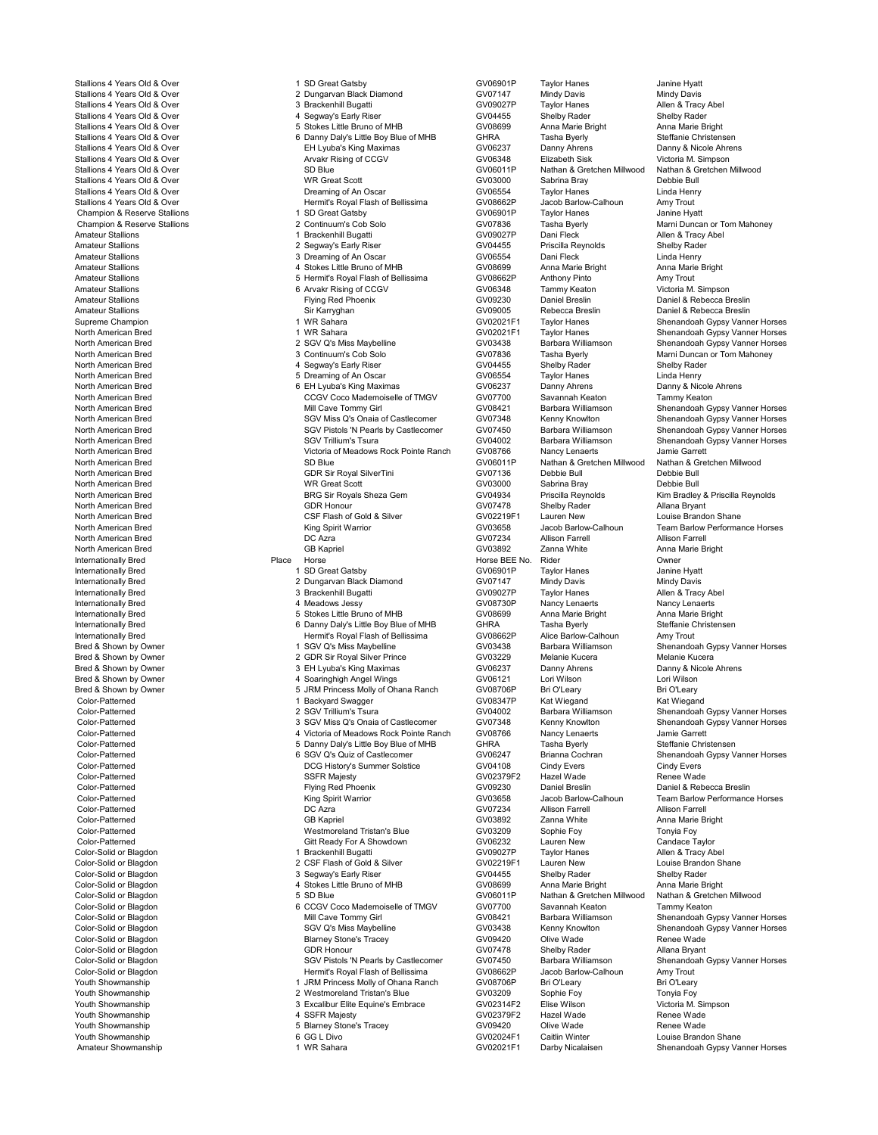Youth Showmanship 6 GG L Divo GV02024F1 Caitlin Winter Louise Brandon Shane

Stallions 4 Years Old & Over 1 State of the State of State of the State of GV06901P Taylor Hanes Janine Hyatt<br>Stallions 4 Years Old & Over 1 State of the State of Diamond Cavis GV07147 Mindy Davis Mindy Davis Stallions 4 Years Old & Over 2 Pulled and Dungarvan Black Diamond 2 Dungarvan Black Diamond 2 Dungarvan Black Diamond 2 Dungarvan Black Diamond CV07147 Mindy Davis Mindy Davis Mindy Davis Mindy Davis Mindy Davis 2 Dungarv Stallions 4 Years Old & Over 3 Brackenhill Bugatti GV09027P Taylor Hanes Allen & Tracy Abel Stallions 4 Years Old & Over 4 Segway's Early Riser GV04455 Shelby Rader Shelby Rader Stallions 4 Years Old & Over 5 Stokes Little Bruno of MHB GV08699 Anna Marie Bright Anna Marie Bright Anna Marie Bright Anna Marie Bright Anna Marie Bright Anna Marie Bright Anna Marie Bright Anna Marie Bright Anna Marie B Stallions 4 Years Old & Over Christensen (Stallions of Danny Daly's Little Boy Blue of MHB GHRA Tasha Byerly Steffanie Christensen<br>Stallions 4 Years Old & Over Striche Ahrens (Strichten Brunders King Maximas GV06237 Danny Stallions 4 Years Old & Over November 2011 of the Lyuba's King Maximas Care in the GV06237 Danny Ahrens Danny & Nicole Ahrens Callions 4 Years Old & Over Ahrens Anrakr Rising of CCGV GV06348 Elizabeth Sisk Cictoria M. Simp Stallions 4 Years Old & Over The Contract Arvakr Rising of CCGV CONSIDENT CONSIDENT CONSIDENT CONSIDENT CONSIDENT CONSIDENT CONSIDENT CONSIDENT CONSIDENT CONSIDENT CONSIDENT CONSIDENT CONSIDENT CONSIDENT CONSIDENT CONSIDEN Stallions 4 Years Old & Over Stallions 4 Years Old & Over Section School States of the States of States of Sta<br>Stallions 4 Years Old & Over Schole Bull WR Great Scott Great Scott GV03000 Sabrina Brav Debbie Bull Stallions 4 Years Old & Over Network Controller Management Controller Management Controller Scott GV03000 Sabrina Bray Debbie Bull Debbie Bull Controller Scott Controller States of the Management Controller Scott Controlle Stallions 4 Years Old & Over Unit State of May be the Dreaming of An Oscar Unit OV06554 Taylor Hanes Unit Benry<br>Stallions 4 Years Old & Over Press Press Hermit's Roval Flash of Bellissima GV08662P Jacob Barlow-Calhoun Amy Statism 2 Years 2 Years Old Bellissima<br>
Hermit's Royal Flash of Bellissima GV08662P Jacob Barlow-Calhoun Amy Trout<br>
1 SD Great Gatsby GV06901P Tavlor Hanes Janine Hvatt Champion & Reserve Stallions 1 SD Great Gatsby Champion & Reserve Stallions 1 SD Great Gatsby GV06901P Taylor Hanes<br>Champion & Reserve Stallions 1 SD Great Gatsby Champion & Reserve Stallions 2 Continuum's Cob Solo GV07836 Champion & Reserve Stallions **2 Continuum's Cob Solo** Communic Cob GV07836 Tasha Byerly Marni Duncan or Tom Mahoney<br>2 Continuum American or Tom Mahoney 1 Brackenhill Bugatti Core GV09027P Dani Fleck Allen & Tracy Abel Amateur Stallions 1 Brackenhill Bugatti GV09027P Dani Fleck Allen & Tracy Abel Amateur Stallions 2 Segway's Early Riser GV04455 Priscilla Reynolds Shelby Rader Amateur Stallions 3 Dreaming of An Oscar GV06554 Dani Fleck Linda Henry Amateur Stallions 4 Stokes Little Bruno of MHB GV08699 Anna Marie Bright Anna Marie Bright Amateur Stallions 5 Hermit's Royal Flash of Bellissima GV08662P Anthony Pinto Amy Trout Amateur Stallions **Amateur Stallions 6 Arvakr Rising of CCGV** COVID-19 COVID-19 COVID-19 COVID-19 COVID-19 COVID-19 COVID-19 COVID-19 COVID-19 COVID-19 COVID-19 COVID-19 COVID-19 COVID-19 COVID-19 COVID-19 COVID-19 COVID Amateur Stallions (Amateur Stallions - Flying Red Phoenix - Flying Red Phoenix - Flying Red Phoenix - GV09230 Daniel Breslin - Daniel & Rebecca Breslin Daniel & Rebecca Breslin - Daniel & Rebecca Breslin - Daniel & Rebecca Amateur Stallions (States of the States of the States of the States of the States of the States of the States of the States of the States of the States of the States of the States of the States of the States of the States Supreme Champion 1 WR Sahara GV02021F1 Taylor Hanes Shenandoah Gypsy Vanner Horses North American Bred 1 WR Sahara 1 WR Sahara 1 WR Sahara GV02021F1 Taylor Hanes Shenandoah Gypsy Vanner Horses<br>1 American Bred 1 WR Sahara 2 SGV Q's Miss Maybelline GV03438 Barbara Williamson Shenandoah Gypsy Vanner Horses North American Bred 2 Communis Colorum 2 SGV Q's Miss Maybelline 2 CV03438 Barbara Williamson Shenandoah Gypsy Vanner Horses<br>2 Sontinuum's Cob Solo GV07836 Tasha Byerly Marni Duncan or Tom Mahoney North American Bred 3 Continuum's Cob Solo GV07836 Tasha Byerly Marni Duncan or Tom Mahoney North American Bred 4 Segway's Early Riser GV04455 Shelby Rader Shelby Rader North American Bred 5 Dreaming of An Oscar GV06554 Taylor Hanes Linda Henry North American Bred Clarens (Communical Breed 6 EH Lyuba's King Maximas GV06237 Danny Ahrens Danny & Nicole Ahrens<br>1991 - CCGV Coco Mademoiselle of TMGV GV07700 Savannah Keaton Tammy Keaton North American Bred CCGV Coco Mademoiselle of TMGV GV07700 Savannah Keaton<br>Nill Cave Tommy Girl GV08421 Barbara Williamson North American Bred **Mill Cave Tommy Girl GV08421** Barbara Williamson Shenandoah Gypsy Vanner Horses<br>North American Bred **Mill Cave Williams of Castlecomer** GV07348 Kenny Knowtton Shenandoah Gypsy Vanner Horses North American Bred SGV Miss Q's Onaia of Castlecomer GV07348 Kenny Knowlton Shenandoah Gypsy Vanner Horses<br>North American Bred SGV Pistols 'N Pearls by Castlecomer GV07450 Barbara Williamson Shenandoah Gypsy Vanner Horses North American Bred SGV Pistols 'N Pearls by Castlecomer GV07450 Barbara Williamson Shenandoah Gypsy Vanner Horses<br>North American Bred SGV Trillium's Tsura GV04002 Barbara Williamson Shenandoah Gypsy Vanner Horses North American Bred **SGV Trillium's Tsura** SGV Trillium's Teura GV04002 Barbara Williamson Shenandoah Gypsy Vanner Horses<br>North American Bred Start Start Startet Startet Control of Meadows Rock Pointe Ranch GV08766 Nancy L North American Bred Carrett Control Control Control of Meadows Rock Pointe Ranch GV08766 Nancy Lenaerts Jamie Garrett<br>North American Bred Stretchen Millwood Nathan & Gretchen Millwood Nathan & Gretchen Millwood Nathan & Gr North American Bred Nathan & GNU SD Blue SO Blue GV06011P Nathan & Gretchen Millwood Nathan & G<br>North American Bred Communican COR Sir Royal SilverTini GV07136 Debbie Bull Debbie Bull North American Bred GDR Sir Royal SilverTini GV07136 Debbie Bull Debbie Bull North American Bred WR Great Scott GV03000 Sabrina Bray Debbie Bull North American Bred North BRG Sir Royals Sheza Gem GV04934 Priscilla Reynolds Kim Bradley & Priscilla Reynolds<br>1991 - GDR Honour GOR Bronour GV07478 Shelby Rader Allana Bryant North American Bred GDR Honour GV07478 Shelby Rader Allana Bryant North American Bred CSF Flash of Gold & Silver GV02219F1 Lauren New Louise Brandon Shane<br>North American Bred Constant Communication Cover Care GV03658 Jacob Barlow-Calhoun Team Barlow Performa North American Bred North American Bred King Spirit Warrior Community Community Community Community Community Community Community Community Community Community Community Community Community Community Community Community Co North American Bred DC Azra GV07234 Allison Farrell Allison Farrell North American Bred Gall Chronic Communication of GB Kapriel Group General GV03892 Zanna White Anna Marie Bright Internationally Bred Place Horse Horse BEE No. Rider Owner Internationally Bred 1 SD Great Gatsby GV06901P Taylor Hanes Janine Hyatt Internationally Bred Nindy Davis (Number 2 Dungarvan Black Diamond Nindy Cover 2 Mindy Davis Mindy Davis Mindy Davis<br>2 Dungarvan Blackenhill Bugatti (Number 2009/02/P Tavlor Hanes Allen & Tracy Abel Internationally Bred 3 Brackenhill Bugatti GV09027P Taylor Hanes Allen & Tracy Abe Internationally Bred 4 Meadows Jessy GV08730P Nancy Lenaerts Nancy Lenaerts<br>Internationally Bred 5 Stokes Little Bruno of MHB GV08699 Anna Marie Bright An Internationally Bred **1992 of the Christensen** 6 Danny Daly's Little Boy Blue of MHB GHRA Tasha Byerly Steffanie Christensen<br>1991 - Hermit's Royal Flash of Bellissima GV08662P Alice Barlow-Calhoun Amy Trout Internationally Bred Mermittel Hermit's Royal Flash of Bellissima GV08662P Alice Barlow-Calhoun Amy Trout Amy Trout<br>Bred & Shown by Owner Mermittel Amy Trout American Amy Trout American American American American American Bred & Shown by Owner **1 SGV Q's Miss Maybelline** GV03438 Barbara Williamson Shenandoah Gypsy Vanner Horses<br>1 Allenie Allenie Allenie Auction School School School School (GV03229 Melanie Kucera Melanie Kucera Melanie Kucer Bred & Shown by Owner The State of Communication of State of State State of State of State of State of State S<br>2 GDR Shown by Owner The State State State State State State State State State State State State State State S<br> Bred & Shown by Owner **3 EH Lyuba's King Maximas** GV06237 Danny Ahrens Danny Ahrens Danny Ahrens Danny Ahrens Ahrens Ahrens Ahrens Ahrens Ahrens Ahrens Ahrens Ahrens Ahrens Ahrens Ahrens Ahrens Ahrens Ahrens Ahrens Ahrens Bred & Shown by Owner 4 Soaringhigh Angel Wings GV06121 Lori Wilson Lori Wilson Bred & Shown by Owner 5 JRM Princess Molly of Ohana Ranch GV08706P Bri O'Leary Bri O'Leary Color-Patterned 1 Color-Patterned 1 Backyard Swagger Color-Patterned Color-Patterned Color-Patterned 1 Backyard Swagger GV08347P Kat Wiegand Kat Wiegand Kat Wiegand Color-Patterned 2 SGV Trillium's Tsura GV04002 Barbara Wi Color-Patterned 2 SGV Trillium's Tsura GV04002 Barbara Williamson Shenandoah Gypsy Vanner Horses Color-Patterned 2 SGV Miss Q's Onaia of Castlecomer GV07348 Kenny Knowlton Shenandoah (Color-Patterned 1999)<br>Color-Patterned 2 Color-Patterned 3 Color-Patterned 1999 Manner Horsess Avenue Anner Horsess Agame Color-Patter Color-Patterned 4 Victoria of Meadows Rock Pointe Ranch GV08766 Nancy Lenaerts Jamie Garrett Color-Patterned 1 Color-Patterned 5 Danny Daly's Little Boy Blue of MHB GHRA Tasha Byerly<br>Color-Patterned 1 Color Christensensensenses Color-Patterned Christensensensenses Color-Patterned Christensens Color-Patterned **6 SGV Q's Quiz of Castlecomer** GV06247 Brianna Cochran Shenandoah Gypsy Vanner Horses<br>Color-Patterned Color-Patterned Shenandoah Supper Scotterned States States States Scotterned Shenandoah Gypsy Vanner Ho Color-Patterned Color-Patterned Color-Patterned Color-Patterned Color-Patterned Color-Patterned Color-Patterned<br>Color-Patterned Color-Patterned Renee Wade Color-Patterned **SSFR Majesty SSFR Majesty** GV02379F2 Hazel Wade Renee Wade Color-Patterned Flying Red Phoenix Flying Red Phoenix Flying Red Phoenix Color-Patterned Flying Red Phoenix Flying Red Phoenix GV09230 Daniel Breslin Daniel & Rebecca Breslin Color-Patterned Flying Red Phoenix GV03658 Jaco Color-Patterned **Examples 2018** King Spirit Warrior **GV03658** Jacob Barlow-Calhoun Team Barlow Performance Horses<br>Color-Patterned **Color-Patterned** Color-Patterned **GV02012** Color-Patterned Allison Farrell Color-Patterned DC Azra GV07234 Allison Farrell Allison Farrell Color-Patterned GB Kapriel GV03892 Zanna White Anna Marie Bright Color-Patterned Westmoreland Tristan's Blue GV03209 Sophie Foy Tonyia Foy Color-Patterned Color-Patterned Color-Patterned Color-Patterned Color-Solid or Blagabor Color-Solid or Blagabor<br>Color-Solid or Blagabon Color-Solid or Blagabor Color-Solid or Blagabor Color-Solid or Blagabor Color-Solid or Color-Solid or Blagdon 1 Brackenhill Bugatti GV09027P Taylor Hanes Allen & Tracy Abel Color-Solid or Blagdon 2 CSF Flash of Gold & Silver GV02219F1 Lauren New Louise Brandon Shane Color-Solid or Blagdon Color-Solid or Blagdon 3 Segway's Early Riser GV04455 Shelby Rader Shelby Rader Shelby Rader<br>Color-Solid or Blagdon Color-Solid or Blagdon 4 Stokes Little Bruno of MHB GV08699 Anna Marie Bright Anna A Stokes Little Bruno of MHB CV08699 Anna Marie Bright Anna Marie Bright<br>COLOR-SOLID COLOR-Mathan & Gretchen Millwood Nathan & Gretchen Millwood Color-Solid or Blagdon 6 Color-Solid or Blagdon 5 SD Blue GV06011P Nathan & Gretchen Millwood Nathan & Gretchen<br>Color-Solid or Blagdon 6 Color-Solid or Blagdon 6 CCGV Coco Mademoiselle of TMGV GV07700 Savannah Keaton Tammy Color-Solid or Blagdon 6 CCGV Coco Mademoiselle of TMGV 6V07700 Savannah Keaton Color-Solid or Blagdon Mill Cave Tommy Girl (Color-Solid or Blagdon Color-Solid or Blagdon Mill Cave Tommy Girl (Color-Solid or Blagdon Color-Color-Solid or Blagdon Mill Cave Tommy Girl GV08421 Barbara Williamson Shenandoah Gypsy Vanner Horses Color-Solid or Blagdon SGV Q's Miss Maybelline Color-Solid or Blagdon SGV Q's Miss Maybelline Shenandoah Gypsy Vanner Horses<br>Color-Solid or Blagdon SGV Q's Miss Maybelline GV03438 Kenny Knowlton Shenandoah Gypsy Vanner Hor Blarney Stone's Tracey **COD9420** Olive Wade Renee Wade CDR Honour COV09420 Olive Wade Renee Wade COR Color-Solid or Blagdon Color-Solid or Blagdon Color-Solid or Blagdon GV07478 Shelby Rader Solid or Blagdon Color-Solid or Blagdon Color-Solid or Blagdon Color-Solid or Blagdon Color-Solid or Blagdon Color-Solid or Blagdon Color-Solid or Blagdon SGV Pistols 'N Pearls by Castlecomer GV07450 Barbara Williamson Shenandoah Gypsy Vanner Horses Color-Solid or Blagdon Hermit's Royal Flash of Bellissima GV08662P Jacob Barlow-Calhoun Amy Trout 1 JRM Princess Molly of Ohana Ranch GV08706P Bri O'Leary Bri O'Leary Bri O'Leary<br>2 Westmoreland Tristan's Blue GV03209 Sophie Foy Tonyia Foy<br>3 Excalibur Elite Equine's Embrace GV02314F2 Elise Wilson Victoria M. Simpson Youth Showmanship 2 Westmoreland Tristan's Blue GV03209 Sophie Foy<br>2 Westmoreland Tristan's Blue GV02314F2 Elise Wilson<br>2 Tonyia File Forgio Tonyia Forgio Tonyia Forgio Theoryia Forgio Forgio Tonyia Forgio Tonyison Victoria M. Showmanship 3 Excalibur Elite Equine's Embrace GV02314F2 Elise Wilson Victoria M. Simpson Victoria M<br>4 SSFR Majesty CV02379F2 Hazel Wade Renee Wade Youth Showmanship 4 SSFR Majesty GV02379F2 Hazel Wade Renee Wade Youth Showmanship 5 Blarney Stone's Tracey GV09420 Olive Wade Renee Wade

Shenandoah Gypsy Vanner Horses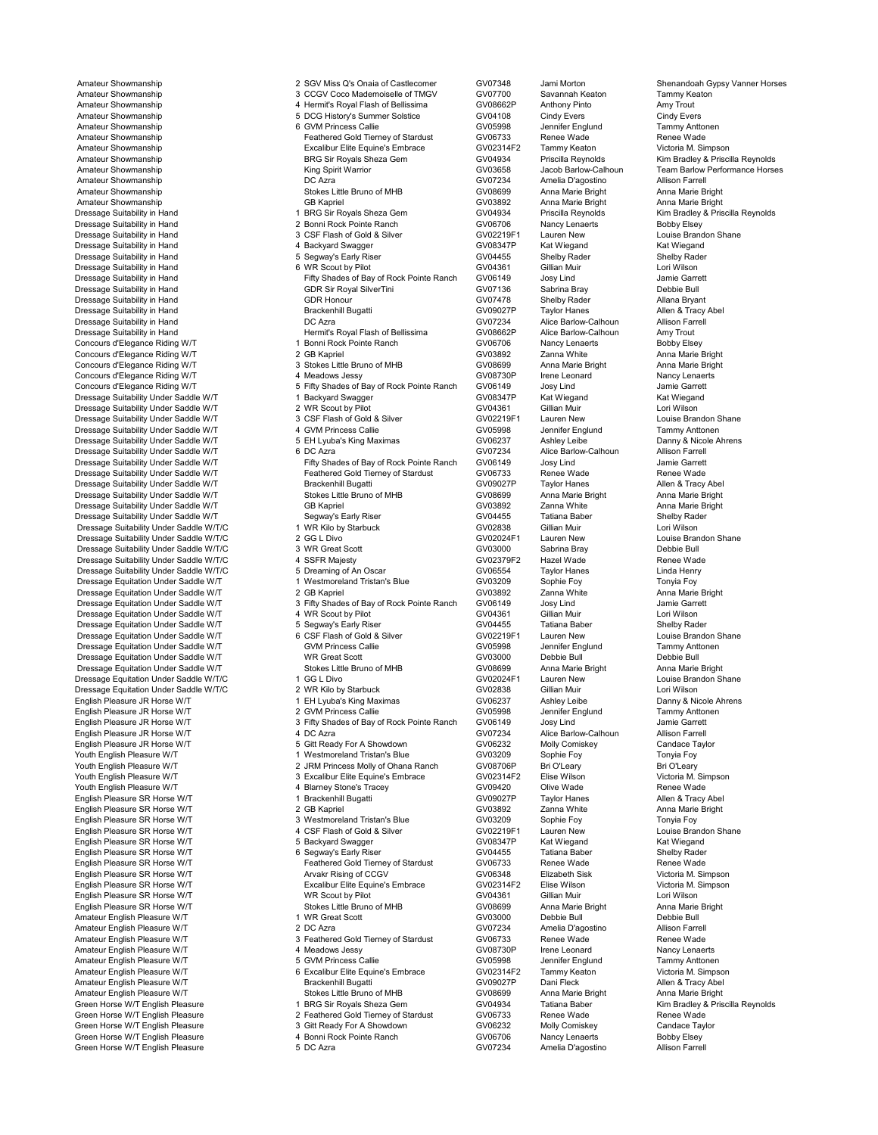Green Horse W/T English Pleasure 3 Gitt Ready For A Showdown GV06232 Molly Comiskey Candace Ta<br>Green Horse W/T English Pleasure 4 Bonni Rock Pointe Ranch GV06706 Nancy Lenaerts Green Horse W/T English Pleasure 4 Bonni Rock Pointe Ranch GV06706 Nancy Lenaerts Bobby Elsey<br>Green Horse W/T English Pleasure 5 DC Azra GV07234 Amelia D'agostino A Green Horse W/T English Pleasure

Amateur Showmanship 2 CGV Miss Q's Onaia of Castlecomer GV07348 Jami Morton Shenandoah Gypsy Vanner Horses<br>2 CCGV Coco Mademoiselle of TMGV GV07700 Savannah Keaton Tammy Keaton Tammy Keaton Amateur Showmanship 3 CCGV Coco Mademoiselle of TMGV GV07700 Savannah Keaton Tammy Keator Amateur Showmanship 1990 Muslim 4 Hermit's Royal Flash of Bellissima CV08662P Anthony Pinto Amy Trout<br>4 Amateur Showmanship 1990 Muslim 5 DCG History's Summer Solstice GV04108 Cindy Evers Cindy Evers Amateur Showmanship 5 DCG History's Summer Solstice GV04108 Cindy Evers Cindy Evers Amateur Showmanship **6 GVM Princess Callie Community GV05998** Jennifer Englund Tammy Anttoner Amateur Showmanship Feathered Gold Tierney of Stardust GV06733 Renee Wade Renee Wade Amateur Showmanship **Amateur Showmanship** Excalibur Elite Equine's Embrace GV02314F2 Tammy Keaton Victoria M. Simpson<br>BRG Sir Royals Sheza Gem GV04934 Priscilla Reynolds Amateur Showmanship<br>Amateur Showmanship BRG Sir Royals Sheza Gem GV04934 Priscilla Reynolds Kim Bradley & Priscilla Reynolds<br>Amateur Showmanship Horse Kim Shirt Warrior (GV03658 Jacob Barlow-Calhoun Team Barlow Performance Amateur Showmanship **Amateur Showmanship Community** King Spirit Warrior **Community Community Community Community**<br>Amateur Showmanship **COMMUNITY COMMUNITY COMMUNITY COMMUNITY** GV07234 Amelia D'agostino Allison Farrell Amateur Showmanship DC Azra GV07234 Amelia D'agostino Allison Farrell Amateur Showmanship Stokes Little Bruno of MHB GV08699 Anna Marie Bright Anna Marie Bright Anna Marie Bright Anna Marie Bright Amateur Showmanship **GB Kapriel GB Kapriel Community GV03892** Anna Marie Bright Anna Marie Bright Anna Marie Bright Dressage Suitability in Hand 1 BRG Sir Royals Sheza Gem 1 CV04934 Priscilla Reynolds<br>Dressage Suitability in Hand 1 BRG Sir Royals Sheza Gem 1 CV06706 Nancy Lenaerts Bobby Elsey<br>Dressage Suitability in Hand 1 3 CSF Flash o Dressage Suitability in Hand 2 Bonni Rock Pointe Ranch GV06706 Nancy Lenaerts Bobby Elsey ORT Flash of Gold & Silver Suitable 1990/02219F1 Lauren New Louise Brand<br>2 GV08347P Kat Wiegand Kat Wiegand Shane Dressage Suitability in Hand 4 Backyard Swagger GV08347P Kat Wiegand Kat Wiegand Dressage Suitability in Hand Shelby Rack Communist Communist Shelby Rack Communist Shelby Rack Communist Shelby Rack Shelby Rack Shelby Rack Communist Shelby Rack Communist Shelby Rack Communist Shelby Rack Communist Commu Dressage Suitability in Hand 6 WR Scout by Pilot GV04361 Gillian Muir Lori Wilson Dressage Suitability in Hand Fifty Shades of Bay of Rock Pointe Ranch GV06149 Josy Lind Jamie Garrett Dressage Suitability in Hand CDR Sir Royal SilverTini Company Company of the Suite of the COR Sir Royal SilverTini GV07136 Sabrina Bray Debbie Bull<br>Dressage Suitability in Hand GDR Sir Royal SilverTini GV07478 Shelby Rader Dressage Suitability in Hand Control of the CDR Honour Control of CDR Honour Control COR Honour COR Honour COR<br>Dressage Suitability in Hand GV07478 Shelby Rader Allana Bryant<br>Dressage Suitability in Hand Control of Bracken Dressage Suitability in Hand هادر Brackenhill Bugatti و GV09027P Taylor Hanes هادر Allen & Tracy<br>Dressage Suitability in Hand هادر Brackenhill Bugatti و DC Azra و GV07234 Alice Barlow-Calhoun هادر Allison Farrell Dressage Suitability in Hand Millson Farrell Community Community Community Community Community Community Commun<br>Dressage Suitability in Hand Millson Trout Hermits Royal Flash of Bellissima GV08662P Alice Barlow-Calhoun Amy Dressage Suitability in Hand Hermit's Royal Flash of Bellissima GV08662P Alice Barlow-Calhoun Amy Trout Concours d'Elegance Riding W/T **18 Extrachagaire 1 Bonni Rock Pointe Ranch** GV06706 Nancy Lenaerts Bobby Elsey<br>Concours d'Elegance Riding W/T 1 2 GB Kapriel 2 GB Kapriel GV03892 Zanna White Anna Marie Bright Concours d'Elegance Riding W/T **2 GB Kapriel 1996** Concours d'Elegance Riding W/T de Legance Riding W/T anna Marie Bright Concours d'Elegance Riding W/T 3 Stokes Little Bruno of MHB Concours d'Elegance Riding W/T anna Mari Concours d'Elegance Riding W/T **3 Stokes Little Bruno of MHB** GV08699 Anna Marie Bright Anna Marie Bright Anna Marie Bright Anna Marie Bright Anna Marie Bright Anna Marie Bright Anna Marie Bright Anna Marie Bright Anna Mar Concours d'Elegance Riding W/T 4 Meadows Jessy GV08730P Irene Leonard Nancy Lenaert<br>Concours d'Elegance Riding W/T 5 Fifty Shades of Bay of Rock Pointe Ranch GV06149 Josy Lind Concours d'Elegance Riding W/T 5 Fifty Shades of Bay of Rock Pointe Ranch GV06149 Josy Lind Jamie Garrett Dressage Suitability Under Saddle W/T 1 Backyard Swagger GV08347P Kat Wiegand Kat Wiegand Dressage Suitability Under Saddle W/T 2 WR Scout by Pilot CVD COVISON Gillian Muir Cover Lori Wilson Lori Wilson<br>2 Oressage Suitability Under Saddle W/T 3 CSF Flash of Gold & Silver GV02219F1 Lauren New Louise Brandon Shan Dressage Suitability Under Saddle W/T 3 CSF Flash of Gold & Silver GV02219F1 Lauren New Louise Brandon Shandon<br>1 GV05998 Jennifer Englund Tammy Anttonen 4 GVM Princess Callie GV05998 Jennifer Englund Tammy Anttonen Dressage Suitability Under Saddle W/T **Australie Australie Australie Constant Constant Constant** GV05998 Jennifer Englund Tammy Anttonen<br>1999 Dessage Suitability Under Saddle W/T **Grammy State State State State Australie S** Dress Suitability United Suitable Suitable Suitable Danny & Nicole 2012<br>GV06237 Ashley Leibe Danny & Nicole Antonious CSV07234 Alice Barlow-Calhoun Allison Farrell Dressage Suitability Under Saddle W/T<br>Dressage Suitability Under Saddle W/T 6 DC Azra CV07234 Alice Barlow-Calhoun Allison Farrell<br>Dressage Suitability Under Saddle W/T Fifty Shades of Bay of Rock Pointe Ranch GV06149 Josy Prifty Shades of Bay of Rock Pointe Ranch GV06149 Josy Lind Jamie Garrett<br>Peathered Gold Tierney of Stardust GV06733 Renee Wade Benee Wade Dressage Suitability Under Saddle W/T **Feathered Gold Tierney of Stardust** GV06733 Renee Wade Renee Wade Renee Wade Renee Wade Renee Wade Constant Brackenhill Bugatti GV09027P Taylor Hanes Allen & Tracy Abel Dressage Suitability Under Saddle W/T **Brackenhill Bugatti** Communic CV09027P Taylor Hanes Allen & Tracy Abel<br>Dressage Suitability Under Saddle W/T Stokes Little Bruno of MHB GV08699 Anna Marie Bright Anna Marie Bright Dressage Suitability Under Saddle W/T Stokes Little Bruno of MHB GV08699 Anna Marie Bright Anna Marie Bright Anna Marie Bright Anna Marie Bright Anna Marie Bright Anna Marie Bright Chrome Communisty Communisty Communisty C Dressage Suitability Under Saddle W/T GB Kapriel GV03892 Zanna White Anna Marie Brights Anna Marie Brights and Marie Brights GV04455 Tatiana Baber Shelby Rader Chessage Suitability Under Saddle W/T Shelby Rader Shelby Rade Dressage Suitability Under Saddle W/T **Segway's Early Riser Shelby Rader States** GV04455 Tatiana Baber Shelby Rad<br>Silian Muir Suitability Under Saddle W/T/C Shelby Rader Shelby Starbuck Shelby Rader GV02838 Gillian Muir Lo Dressage Suitability Under Saddle W/T/C **1989 10: Example 1 WR Kilo by Starbuck** GV02838 Gillian Muir Lori Wilson<br>1 GV02024F1 Lauren New Louise Brandon Shane Dressage Suitability Under Saddle W/T/C and the Company of Company of CV02024F1 Lauren New Louise Brandon Company<br>Dressage Suitability Under Saddle W/T/C 2 GG L Divo GV02024F1 Lauren New Louise Brandon Sabrina Bray Debbie Dressage Suitability Under Saddle W/T/C and Societ Scott Scott GV03000 Sabrina Bray Debbie Bull<br>1999 Dressage Suitability Under Saddle W/T/C and American Analysty Communisty Communisty Communisty Debbie Bul Dressage Suitability Under Saddle W/T/C 4 SSFR Majesty GV02379F2 Hazel Wade Renee Wade Renee Wade Renee Wade Renee Wade Renee Wade Renee Wade Renee Wade Renee Wade Renee Wade Renee Wade Renee Wade Rene Dressage Suitability Under Saddle W/T/C **5 Dreaming of An Oscar** GV06554 Taylor Hanes Linda Henry<br>1 Westmoreland Tristan's Blue GV03209 Sophie Foy Tonyia Foy Dressage Equitation Under Saddle W/T **1** 1 1 Westmoreland Tristan's Blue **GV03209** Sophie Foy Comment Comple Foy<br>1 GV03892 Zanna White Grand Anna Marie Bright Comment Comment Complex Complex Comment Comment of Anna Marie B Dressage Equitation Under Saddle W/T 2 GB Kapriel Companies CV03892 Zanna White Anna Marie Brighte Anna Marie B<br>Dressage Equitation Under Saddle W/T 3 Fifty Shades of Bay of Rock Pointe Ranch GV06149 Josy Lind 3 Jamie Garr Dressage Equitation Under Saddle W/T 3 Fifty Shades of Bay of Rock Pointe Ranch GV06149 Josy Lind Jamie Garrett Dressage Equitation Under Saddle W/T **4 WR Scout by Pilot CON** GV04361 Gillian Muir Cori Wilson Lori Wilson<br>19 Dressage Equitation Under Saddle W/T 5 Segway's Early Riser GV04455 Tatiana Baber Shelby Rader Dressage Equitation Under Saddle W/T 5 Segway's Early Riser Shelby Rader GV04455 Tatiana Baber Shelby Rader Shelby Rader Shelby Rader Shelby Rader Shelby Rader Shane Shane Shane Shelby Rader Shane Shane Shane Shane Shane S Dressage Equitation Under Saddle W/T 6 CSF Flash of Gold & Silver GV02219F1 Lauren New Louise Brandon S<br>Comprises allie GV05998 Jennifer Englund Tammy Anttonen Dressage Equitation Under Saddle W/T **GVM Princess Callie** GV05998 Jennifer Englund Tammy Anttonens Callie Communication Communication of the Tammy Anttonens Callie Communication Communication Under Saddle Null Communicati Dressage Equitation Under Saddle W/T **MR** Great Scott Creat Scott CGV03000 Debbie Bull Debbie Bull Debbie Bull Debbie Bull Debbie Bull Debbie Bull Debbie Bull Debbie Bull Straht Scotes Little Brunco of MHB GV08699 Anna Mar Dressage Equitation Under Saddle W/T Stokes Little Bruno of MHB GV08699 Anna Marie Bright Anna Marie Bright Anna Marie Bright<br>Stressage Equitation Under Saddle W/T/C 1990 Anna Marie Bruno of MHB GV02024F1 Lauren New Louise Dressage Equitation Under Saddle W/T/C and the CG L Divo Company of GV02024F1 Lauren New Louise Brandon Louise Brandon Shane Core Company of Company of Company Louise Brandon Shane Shane Core Company of Company Louise Bran Dressage Equitation Under Saddle W/T/C and the United Starbuck Communication of the Communication of the Communication of the Communication of the Communication of the Communication of the Communication of the Communicatio English Pleasure JR Horse W/T 1 EH Lyuba's King Maximas COO237 Ashley Leibe Danny & Nicole A<br>English Pleasure JR Horse W/T 1 EH Lyuba's King Maximas GV06237 Ashley Leibe Danny & Nicole A<br>English Pleasure JR Horse W/T 2 GVM English Pleasure JR Horse W/T 2 GVM Princess Callie CV05998 Jennifer Englund Tammy Anttonen<br>13 Fifty Shades of Bay of Rock Pointe Ranch GV06149 Josy Lind Jamie Garrett English Plaasure Jamie Garrett GV06149 Josy Lind Jamie Garrett Jamie Garrett GV06149 Josy Lind Jamie Garrett A<br>4 DC Azra Alison Farrell GV07234 Alice Barlow-Calhoun Allison Farrell English Pleasure JR Horse W/T **4 DC Azra Community COVICES A**lice Barlow-Calhoun Allison Farrell<br>4 DC Azra GV07234 Alice Barlow-Calhoun Allison Farrell<br>4 GV06232 Molly Comiskey Candace Tavlor English Pleasure JR Horse W/T **State A State A SHOW CONTER SHOW CONTERN CONTERNATION** Comiskey Candace Taylor Candace Taylor South English Pleasure W/T Candace Taylor Tonyia Foy<br>Tonyia For A Show Tonyia For A Show Tonyia F Youth English Pleasure W/T 1 Westmoreland Tristan's Blue GV03209 Sophie Foy Tonyia Foy<br>1 Youth English Pleasure W/T 2 JRM Princess Molly of Ohana Ranch GV08706P Bri O'Leary Youth English Pleasure W/T 2 JRM Princess Molly of Ohana Ranch GV08706P Bri O'Leary Bri O'Leary<br>2 Youth English Pleasure W/T 3 Excalibur Elite Equine's Embrace GV02314F2 Elise Victoria M. Simpson CV02314F2 Elise Wilson Victoria M. Sin Simpson CV02314F2 Elise Wilson Victoria M. Sin Simpson CV09420 Olive Wade Youth English Pleasure W/T 4 Blarney Stone's Tracey GV09420 Olive Wade Renee Wade<br>English Pleasure SR Horse W/T 1 Brackenhill Bugatti GV09027P Taylor Hanes Alle English Pleasure SR Horse W/T 1 Brackenhill Bugatti GV09027P Taylor Hanes Allen & Tracy Abel<br>English Pleasure SR Horse W/T 2 GB Kapriel GV03892 Zanna White An English Pleasure SR Horse W/T 2 GB Kapriel GV03892 Zanna White Anna Marie<br>2 GV03209 3 Westmoreland Tristan's Blue GV03209 Sophie Foy Tonyia Foy English Pleasure SR Horse W/T **3** Westmoreland Tristan's Blue GV03209 Sophie Foy Tonyia Foy Tonyia Foy Tonyia Foy<br>English Pleasure SR Horse W/T 4 CSF Flash of Gold & Silver GV02219F1 Lauren New Louise Brandon Shane English Pleasure SR Horse W/T **An Amaz A. COM** A CSF Flash of Gold & Silver GV02219F1 Lauren New Louise Brandon C<br>4 CSF Flash of Gold & Shane GV08347P Kat Wiegand Kat Wiegand English Pleasure SR Horse W/T **5 Backyard Swagger** GV08347P Kat Wiegand Kat Wiegand Kat Wiegand<br>19 English Pleasure SR Horse W/T **Shelby Rader** 6 Segway's Early Riser **Mark Can COV04455** Tatiana Baber Shelby Rader English Pleasure SR Horse W/T **CONTENT CONSTRUST SECUTE SEARCH ARE SE**RVITS ON BRIGGARY SEARLY REAGRATION CONSTRUST<br>English Pleasure SR Horse W/T **Feathered Gold Tierney of Stardust** GV06733 Renee Wade Renee Wade Englishered Gold Tierney of Stardust GV06733 Renee Wade Renee Wade Renee Wade Renee Wade Renee Wade Renee Wade Renee Wade Renee Wade Renee Wade Renee Wade Renee Wade Renee Wade Renee Wade Renee Wade Renee Wade Renee Wade R English Pleasure SR Horse W/T **Arvakr Rising of CCGV** COOS348 Elizabeth Sisk Victoria M. Simpson<br>English Pleasure SR Horse W/T Excalibur Elite Equine's Embrace GV02314F2 Elise Wilson Victoria M. Simpson Excalibur Elite Equine's Embrace GV02314F2 Elise Wilson Victoria M.<br>
WR Scout by Pilot Clical Calibur GV04361 Gillian Muir Simpson Lori Wilson English Pleasure SR Horse W/T **English Pleasure SR Horse Wilson**<br>English Pleasure SR Horse W/T **GV04361 GV0669 CONTENT Anne Marie Bright** GV08699 Anna Marie Bright Anna Marie Bright English Please Little Bruno of MHB GV08699 Anna Marie Bright Anna Marie Anna Marie Anna Marie Bright Anna Marie Bright Anna Marie Bright Anna Marie Bright Anna Marie Bright Anna Marie Bright Anna Marie Bright Anna Marie Br Amateur English Pleasure W/T 1 WR Great Scott GV03000 Debbie Bull Debbie Bull Amateur English Pleasure W/T 2 DC Azra Contract Contract Contract Contract Contract Contract Contract Contract<br>Amateur English Pleasure W/T 2 DC Azra Contract CV06733 Renee Wade Renee Wade<br>Amateur English Pleasure W/T 3 Fe Amateur English Pleasure The Contract COV06733<br>
American Stardust COV06733 Renee Wade Renee Wade Renee Wade Alleadows Jessy GV08730P Irene Leonard Nancy Lenaerts Amateur English Pleasure W/T **1980 CONTENT Amateur English Pleasure The Amateur English Pleasure W/T**<br>Amateur English Pleasure W/T **Amateur Content Amateur Content Amateur C**onsider Content of the State of State of S<br>GV059 Amateur English Pleasure W/T Fineasure M/T (Sammy Anttonen of GV05998 Sennifer Englund Tammy Anttonen of GV05998<br>19 GV02314F2 Tammy Keaton Antensive Microsoft Grand Binder (Support GV02314F2 Tammy Keaton Victoria M. Simpso Amateur Elite Equine's Embrace GV02314F2 Tammy Keaton Victoria M. Simpson Companies Companies Companies Companies Companies Companies Companies Companies Companies Companies Companies Companies Companies Companies Companie Amateur English Pleasure W/T Brackenhill Bugatti GV09027P Dani Fleck Allen & Tracy Abel Amateur English Pleasure W/T (Stokes Little Bruno of MHB (GV08699 Anna Marie Bright Anna Marie Bright Anna Marie Bright Anna Marie Bright Anna Marie Bright (Green Horse W/T English Pleasure 1999) 1 BRG Sir Rovals Sheza Ge Green Horse W/T English Pleasure 1 BRG Sir Royals Sheza Gem GV04934 Tatiana Baber Kim Bradley & Priscilla Reynolds<br>1 Breen Horse W/T English Pleasure 1 2 Feathered Gold Tierney of Stardust GV06733 Renee Wade Renee Wade 2 Feathered Gold Tierney of Stardust GV06733 Renee Wade Renee Wade Renee Wade Renee Wade Renee Wade Renee Wade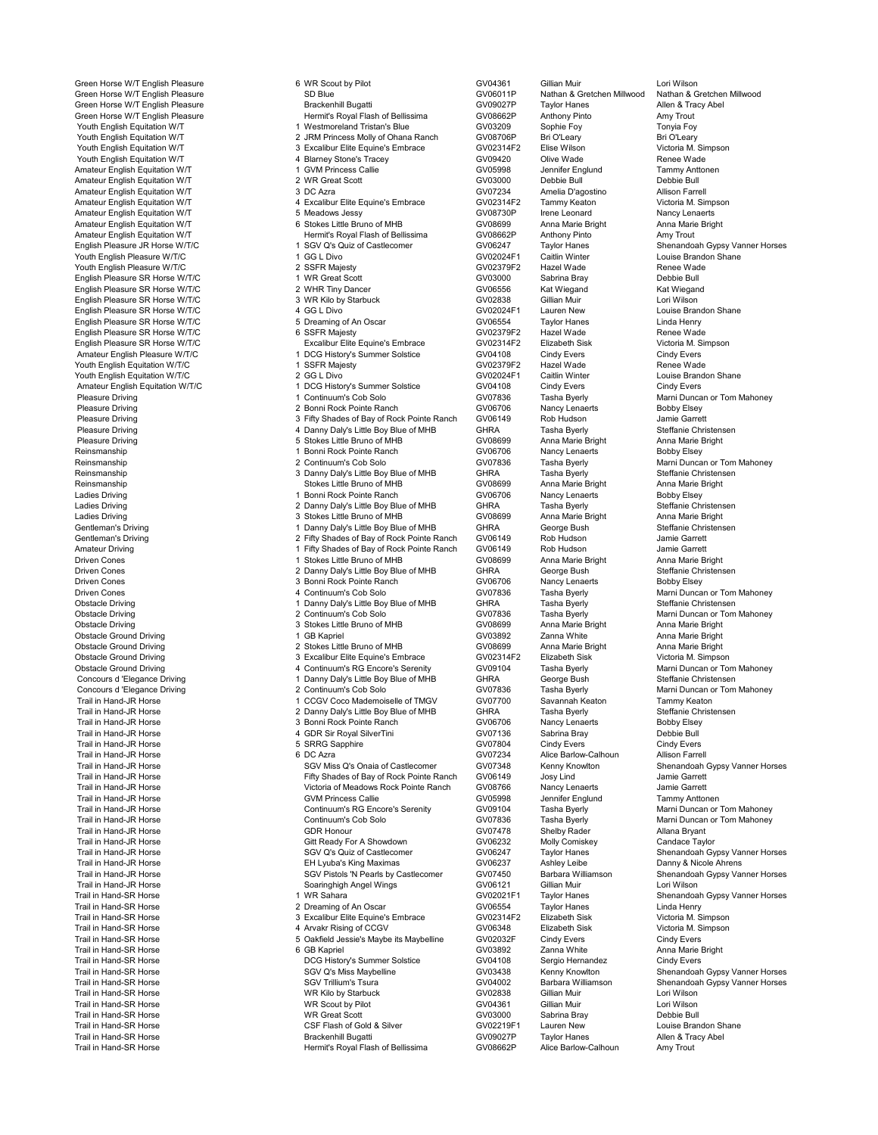Trail in Hand-SR Horse Brackenhill Bugatti GV09027P Taylor Hanes Allen & Tracy Abel

Green Horse W/T English Pleasure **6 MR Scout by Pilot** GV04361 Gillian Muir Lori Wilson Lori Wilson GV04361 Gillian Muir Lori Wilson Lori Wilson GV04361 Gillian Muir Lori Wilson Lori Wilson Computer of the SD Blue GV06011P Green Horse W/T English Pleasure SD Blue (SUBD Blue GV06011P Nathan & Gretchen Millwood Nathan & Gretchen (Sub<br>GV09027P Taylor Hanes Allen & Tracy Abel (Subarathan Millwood Nathan & Tracy Abel Brackenhill Bugatti Green Horse W/T English Pleasure Brackenhill Bugatti GV09027P Taylor Hanes Allen & Tra<br>Green Horse W/T English Pleasure Hermit's Royal Flash of Bellissima GV08662P Anthon Green Horse W/T English Pleasure Hermit's Royal Flash of Bellissima GV08662P Anthony Pinto Amy Trout Youth English Equitation W/T 1 Westmoreland Tristan's Blue GV03209 Sophie Foy Tonyia Foy<br>1 Youth English Equitation W/T 2 JRM Princess Molly of Ohana Ranch GV08706P Bri O'Lea Youth English Equitation W/T 2 JRM Princess Molly of Ohana Ranch CV08706P Bri O'Leary Bri O'Leary Bri O'Leary<br>2 JRM Princess Molly of Dramace GV02314F2 Elise Wilson Victoria M. Simpson Victoria M. Signalibur Elite Equine's Embrace GV02314F2 Elise Wilson Victoria M. Simpson Victoria M. Simpson C<br>4 Blarney Stone's Tracey Company GV09420 Olive Wade Renee Wade Youth English Equitation W/T and the Stone's Tracey of GV09420 Olive Wade Renee Wade Nade Communication Witch<br>Amateur English Equitation W/T 4 GVM Princess Callie GV05998 Jennifer Englund Tammy Anttonen Amateur English Equitation W/T 1 GVM Princess Callie GV05998 Jennifer Englund Tammy Anttonen Amateur English Equitation W/T 2 WR Great Scott CV03000 Debbie Bull Debbie Bull Debbie Bull Could be a compare<br>Amateur English Equitation W/T 3 DC Azra 3 DC Azra CV07234 Amelia D'agostino Allison Farrell Amateur English Equitation W/T 3 DC Azra 3 DC Azra CV07234 Amelia D'agostino Allison Farrell<br>3 DC Amateur English Equitation W/T 4 Excalibur Elite Equine's Embrace GV02314F2 Tammy Keaton Victoria M. Simpson Amateur Elite Equine's Embrace CO22314F2 Tammy Keaton Victoria M. Simpson Victoria M. Simpson CO2314F2 Tammy Keaton Victoria M. Simpson CO2314F2 Tammy Keaton Victoria M. Simpson CO2314F2 Tammy Keaton Victoria M. Simpson CO Amateur English Equitation W/T and the State of the State of the State of the State of the State of the State of the State of the State of the State of the State of the State of the State of the State of the State of the S Amateur English Equitation W/T **Channel Communist Communist Communist Communist Communist Communist Communist C**<br>Amateur English Equitation W/T **Anny Trout Communist Annumist Annumi**st Royal Flash of Bellissima GV08662P A Mermit's Royal Flash of Bellissima (GV08662P Anthony Pinto Amy Trout Amy Trout CHO Americ Horses<br>1 SGV Q's Quiz of Castlecomer (GV06247 Taylor Hanes Shenandoah Gypsy Vanner Horses English Pleasure JR Horse W/T/C 1 SGV Q's Quiz of Castlecomer Cover Castle Cover Traylor Hanes Shenandoah Gypsy Vanner Horses And Taylor Hanes Shenandoah Gypsy Vanner Horses And Taylor Hanes Shenandoah Gypsy Vanner Horses Youth English Pleasure W/T/C 1 GG L Divo GV02024F1 Caitlin Winter Louise Brandon Shane Youth English Pleasure W/T/C 2 SSFR Majesty GV02379F2 Hazel Wade Renee Wade English Pleasure SR Horse W/T/C 1 WR Great Scott GV03000 Sabrina Bray Debbie Bull<br>English Pleasure SR Horse W/T/C 2 WHR Tiny Dancer GV06556 Kat Wieqand Kat Wieqa English Pleasure SR Horse W/T/C 2 WHR Tiny Dancer GV06556 Kat Wiegand Kat Wiegand English Pleasure SR Horse W/T/C and the Contract of the Starbuck CV02838 Gillian Muir Contract Contract Contract Contract Contract SR Horse W/T/C 3 WR Kilo by Starbuck GV02838 Gillian Muir Lori Wilson Lori Wilson Contract English Pleasure SR Horse W/T/C 4 GG L Divo GV02024F1 Lauren New Louise Brandon Shane English Pleasure SR Horse W/T/C **5** Dreaming of An Oscar GV06554 Taylor Hanes Linda Henry<br>1991 English Pleasure SR Horse W/T/C **6 SSFR Majesty** SV02379F2 Hazel Wade English Pleasure SR Horse W/T/C **6 SSFR Majesty CONSING THE SET ACT ACT CONSING CONSINGL**<br>English Pleasure SR Horse W/T/C **CONSING EXAMPLE Excalibur Elite Equine's Embrace** GV02314F2 Elizabeth Sisk Victoria M. Simpson English Pleasure SR Horse W/T/C **Excalibur Elite Equine's Embrace** GV02314F2 Elizabeth Sisk Victoria M. Simpson Cindv Evers<br>Amateur English Pleasure W/T/C **Amateur Excalibur 1 DCG History's Summer Solstice** GV04108 Cindv E 1 DCG History's Summer Solstice  $\frac{1}{\text{GVO4108}}$  Cindy Evers Cindy Evers Cindy Evers Cindy Evers Cindy Evers Cindy Evers Cindy Evers Company Company Cindy Evers Company Company Cindy Evens Company Cindy Evens Company Comp Youth English Equitation W/T/C 1 SSFR Majesty GV02379F2 Hazel Wade Renee Wade<br>Youth English Equitation W/T/C 2 GG L Divo GV02024F1 Caitlin Winter Louise Brandon Youth English Equitation W/T/C 2 GG L Divo Louise Brandon 2011 <br>2 GV04108 1 DCG History's Summer Solstice GV04108 Cindy Evers Cindy Evers Amateur English Equitation W/T/C 1 DCG History's Summer Solstice GV04108 Cindy Evers Cindy Evers Content Content<br>Pleasure Driving Content Content of Continuum's Cob Solo Content Covers Covers Content Content Content Conten Pleasure Driving 1 Continuum's Cob Solo 1 Continuum's Cob Solo CV07836 Tasha Byerly 1 Marni Duncan or Tom Mahoney<br>1 Continuum 2 Bonni Rock Pointe Ranch 1 GV06706 Nancy Lenaerts Bobby Elsey Pleasure Driving Chronom Comments (2 Bonni Rock Pointe Ranch GV06706 Nancy Lenaerts Bobby Elsey<br>2 Bonni Rock Pointe Ranch GV06149 Rob Hudson Jamie Garrett Pleasure Driving 3 Fifty Shades of Bay of Rock Pointe Ranch GV06149 Rob Hudson Jamie Garrett Pleasure Driving Christens (American Christens American Christens Annually Steffanie Christens American Christensen<br>19 Stokes Little Bruno of MHB GV08699 Anna Marie Bright Anna Marie Bright Anna Marie Bright Pleasure Driving Channel Anna Marie Bruno of MHB GV08699 Anna Marie Bright Anna Marie Bright Anna Marie Bright<br>1 Bonni Rock Pointe Ranch GV06706 Nancy Lenaerts Bobby Elsey Reinsmanship 1 Bonni Rock Pointe Ranch 1 Bonni Rock Pointe Ranch 1 Bonni Rock Pointe Ranch 1 Bonni Rock Pointe Ranch 1 Bonni Rock Pointe Ranch 1 Bonni Rock Pointe Ranch 1 Bonni Rock Pointe Ranch 1 Bonni Rock Pointe Ranch 1 Reinsmanship 2 Continuum's Cob Solo GV07836 Tasha Byerly Marni Duncan or Tom Mahoney<br>2 Continuum's Cob Solo GV07836 Tasha Byerly Marni Duncan or Tom Mahoney<br>Reinsmanship Steffanie Christensen Reinsmanship 3 Danny Daly's Little Boy Blue of MHB GHRA Tasha Byerly Steffanie Christensen Reinsmanship Stokes Little Bruno of MHB GV08699 Anna Marie Bright Anna Marie Bright Ladies Driving 1 Bonni Rock Pointe Ranch GV06706 Nancy Lenaerts Bobby Elsey Ladies Driving Christens 2 Danny Daly's Little Boy Blue of MHB GHRA Tasha Byerly Steffanie Christens<br>2 Stokes Little Bruno of MHB GV08699 Anna Marie Bright Anna Marie Bright Ladies Driving Channel Anna Marie Bright 3 Stokes Little Bruno of MHB GV08699 Anna Marie Bright Anna Marie Bright<br>3 Steffanie Christensen 1 Danny Daly's Little Boy Blue of MHB GHRA George Bush Steffanie Christensen Gentleman's Driving 1 Danny Daly's Little Boy Blue of MHB GHRA George Bush Steffanie Christensen Gentleman's Driving Communication Communication Communication Communication Communication Communication Commun<br>2 Fifty Shades of Bay of Rock Pointe Ranch GV06149 Rob Hudson Jamie Garrett<br>2 Fifty Shades of Bay of Rock Point Amateur Driving (Amateur Driving The State of Bay of Rock Pointe Ranch GV06149 Rob Hudson Jamie Garrett (Amateur Driving The State of Bay of Rock Pointe Ranch GV06149 Rob Hudson Jamie Garrett (<br>Driven Cones (Amateur Drivin Driven Cones 1 Stokes Little Bruno of MHB GV08699 Anna Marie Bright Anna Marie Bright Driven Cones 2 Danny Daly's Little Boy Blue of MHB GHRA George Bush Steffanie Christensen Driven Cones 3 Bonni Rock Pointe Ranch GV06706 Nancy Lenaerts Bobby Elsey Driven Cones **1988** Tasha Byerly Marni Duncan or Tom Mahoney<br>1 Danny Daly's Little Boy Blue of MHB GHRA Tasha Byerly Steffanie Christensen<br>Qbstacle Driving Steffanie Christensen Obstacle Driving 1 Danny Daly's Little Boy Blue of MHB GHRA<br>1 Danny Daly's Little Boy Blue of MHB GV07836<br>2 Continuum's Cob Solo Obstacle Driving Cob Continuum's Copyright Continuum's Copyright Coverage Continuum's Copyright Copyright Copyright Mahoney<br>2 Copyright Copyright Copyright Copyright Copyright Copyright Anna Marie Bright Anna Marie Bright Obstacle Driving 3 Stokes Little Bruno of MHB GV08699 Anna Marie Bright Anna Marie Bright Anna Marie Bright Anna Marie Bright Anna Marie Bright Obstacle Ground Driving and Marie Bright 1 GB Kapriel 1 GB Kapriel 1 GV03892 Zanna White Anna Marie Bright Anna Marie Bright Chatage and Anna Marie Bright Chatage and Anna Marie Bright Chatage and Anna Marie Bright Anna Ma Obstacle Ground Driving **2 Stokes Little Bruno of MHB** GV08699 Anna Marie Bright Anna Marie Bright Anna Marie Bright<br>2 Stocalibur Elite Equine's Embrace GV02314F2 Elizabeth Sisk Victoria M. Simpson Obstacle Ground Driving 3 Excalibur Elite Equine's Embrace GV02314F2 Elizabeth Sisk Victoria M. Simpson Obstacle Ground Driving Theory of the Continuum's American Continuum's RG Encore's Serenity (SV09104 Tasha Byerly Marni Duncan or Tom Marni Duncan or Tom Marni Duncan or Tom Marni Duncan or Tom Marni Duncan or Tom Mahoney Concours d'Elegance Driving 1 Danny Daly's Little Boy Blue of MHB GHRA George Bush Concours d'Elegance Driving<br>1 Danny Daly's Little Boy Blue of MHB GV07836 Tasha Byerly Concours d'Elegance Driving a company and the Continuum's Cob Solo GV07836 Tasha Byerly Marni Duncan or Tom Mahoney<br>2 Continuum's Cob Solo GV07836 Tasha Byerly Marni Duncan or Tom Mahoney<br>2 Continuum's Cob Solo Mademoisell Trail in Hand-JR Horse 1992 of the contract of the contract of the CGV Coco Mademoiselle of TMGV GV07700 Savannah Keaton Tammy Keaton Tammy Keaton 1 CCGV Coco Mademoiselle of TMGV GV07700 Savannah Keaton Tammy Keaton 1999 Trail in Hand-JR Horse 2 Danny Daly's Little Boy Blue of MHB GHRA Tasha Byerly Steffanie Christensen Trail in Hand-JR Horse 3 Bonni Rock Pointe Ranch GV06706 Nancy Lenaerts Bobby Elsey Trail in Hand-JR Horse 4 GDR Sir Royal SilverTini GV07136 Sabrina Bray Debbie Bull Trail in Hand-JR Horse Cindy Evers (Contact Trail in Hand-JR Horse Cindy Evers Cindy Evers Cindy Evers Cindy Evers Cindy Evers (Cindy Evers Cindy Evers Cindy Evers Cindy Evers Cindy Evers (Cind) By Samme Basic Cindy Evers Trail in Hand-JR Horse 6 DC Azra GV07234 Alice Barlow-Calhoun Allison Farrell Trail in Hand-JR Horse Same SGV Miss Q's Onaia of Castlecomer GV07348 Kenny Knowlton Shenandoah Gypsy Vanner Horses<br>Trail in Hand-JR Horse Stame Stame Stame Stame Stame Fifty Shades of Bay of Rock Pointe Ranch GV06149 Josy Trail in Hand-JR Horse Fifty Shades of Bay of Rock Pointe Ranch GV06149 Josy Lind Jamie Garrett Victoria of Meadows Rock Pointe Ranch GV08766 Nancy Lenaerts Jamie Garrett<br>GVM Princess Callie GV05998 Jennifer Englund Tammy Anttonen Trail in Hand-JR Horse Committer Englund Committer Englund Committer Englund Committer Englund Tammy Antionen<br>Trail in Hand-JR Horse Committer Schult Committeen Committeen Committeen Committeen Committeen Committeen Comm Trail in Hand-JR Horse **Continuum's RG Encore's Serenity** GV09104 Tasha Byerly Marni Duncan or Tom Mahoney<br>Trail in Hand-JR Horse **Communi Continuum's Cob Solo** GV07836 Tasha Byerly Marni Duncan or Tom Mahoney Trail in Hand-JR Horse The Solo Continuum's Cob Solo Cover Commission Commission Commission Commission Commissio<br>Trail in Hand-JR Horse Commission COR Honour Commission Cover Cover Cover Shelby Rader Allana Bryant Allana B Trail in Hand-JR Horse Guide Government CDR Honour Government GV07478 Shelby Rader Shelby Rader Allana Bryant Trail in Hand-JR Horse Candace Taylor Common Citt Ready For A Showdown GV06232 Molly Comiskey Candace Taylor<br>Trail in Hand-JR Horse Chronic Common SGV Q's Quiz of Castlecomer GV06247 Taylor Hanes Shenandoah G Trail in Hand-JR Horse Same SGV Q's Quiz of Castlecomer GV06247 Taylor Hanes Shenandoah Gypsy Vanner Horses<br>Trail in Hand-JR Horse Shenandoah Gypsy Shenandoah Gypsy Shenandoah Gypsy Vanner Horses Shenandoah Gypsy Vanner Trail in Hand-JR Horse Trail in Hand-JR Horse EH Lyuba's King Maximas GV06237 Ashley Leibe Danny & Nicole Ahrens<br>Trail in Hand-JR Horse Trail in Europe SGV Pistols 'N Pearls by Castlecomer GV07450 Barbara Williamson Shenan Trail in Hand-JR Horse SGV Pistols 'N Pearls by Castlecomer GV07450 Barbara Williamson Shenandoa<br>Trail in Hand-JR Horse Shenandoah Gypsy Soaringhigh Angel Wings GV06121 Gillian Muir Lori Wilson Trail in Hand-JR Horse Soaringhigh Angel Wings (SV06121 Gillian Muir Lori Muir Soaringhigh Angel Wings (SV02021F1 Taylor Hanes<br>Trail in Hand-SR Horse States of the States of the Sahara (SV02021F1 Taylor Hanes Trail in Hand-SR Horse **1 WR Sahara** 1 WR Sahara 1 WR Sahara 1 WR Sahara 1 WR Sahara 1 WR Sahara 1 GV02021F1 Taylor Hanes Shenandoah Gypsy Vanner Horses<br>1 2 Dreaming of An Oscar 1 GV06554 Taylor Hanes Linda Henry<br>1 3 Excal Trail in Hand-SR Horse 2 Dreaming of An Oscar 2 Dreaming of An Oscar 2 Dreaming of An Oscar 2 CV06554 Taylor Hanes<br>2 Dreaming Hand-SR Horse 2 Dreaming of An Oscar Branchers Embrace 2 GV02314F2 Elizabeth Sisk Trail in Hand-SR Horse 3 Excalibur Elite Equine's Embrace GV02314F2 Elizabeth Sisk Victoria M. Simpson Trail in Hand-SR Horse 4 Arvakr Rising of CCGV GUINNESS (1990)<br>2 Arvakr Rising of CCGV GV06348 Elizabeth Sisk Victoria M. Simpson 4 Arvakr Rising of CCGV GV06348 Elizabeth Sisk Victoria M. Simpson 4 Arvakr Rising of CCGV Trail in Hand-Scotters 5 Oakfield Jessie's Maybe its Maybelline GV02032F Cindy Evers Cindy Evers Cindy Evers Cindy Evers Cindy Evers Cindy Evers Cindy Evers Cindy Evers Cindy Evers Cindy Evers Cindy Evers Cindy Condition C Trail in Hand-SR Horse 6 GB Kapriel GV03892 Zanna White Anna Marie Bright Trail in Hand-SR Horse DCG History's Summer Solstice GV04108 Sergio Hernandez Cindy Evers Trail in Hand-SR Horse SGV CHOMIS MAND AND A SGV Q'S Miss Maybelline SCV03438 Kenny Knowlton Shenandoah Gypsy Vanner Horses<br>Trail in Hand-SR Horse SGV Trillium's Tsura SGV Trillium's Tsura SCV04002 Barbara Williamson Shena Trail in Hand-SR Horse WR Kilo by Starbuck GV02838 Gillian Muir Lori Wilson Trail in Hand-SR Horse WR Scout by Pilot GV04361 Gillian Muir Lori Wilson Trail in Hand-SR Horse WR Great Scott GV03000 Sabrina Bray Debbie Bull<br>Trail in Hand-SR Horse CSF Flash of Gold & Silver GV02219F1 Lauren New Louise Brandon Trail in Hand-SR Horse CSH COM COM COM COM A Silver COVID COVID COVID COVID COVID COVID Lauren New Louise Brandon Shane<br>Trail in Hand-SR Horse Covid Covid Covid Covid Brackenhill Bugatti Group GV09027P Taylor Hanes Allen &

Hermit's Royal Flash of Bellissima

GV04002 Barbara Williamson Shenandoah Gypsy Vanner Horses<br>GV02838 Gillian Muir Shenandoah Gypsy Vanner Horses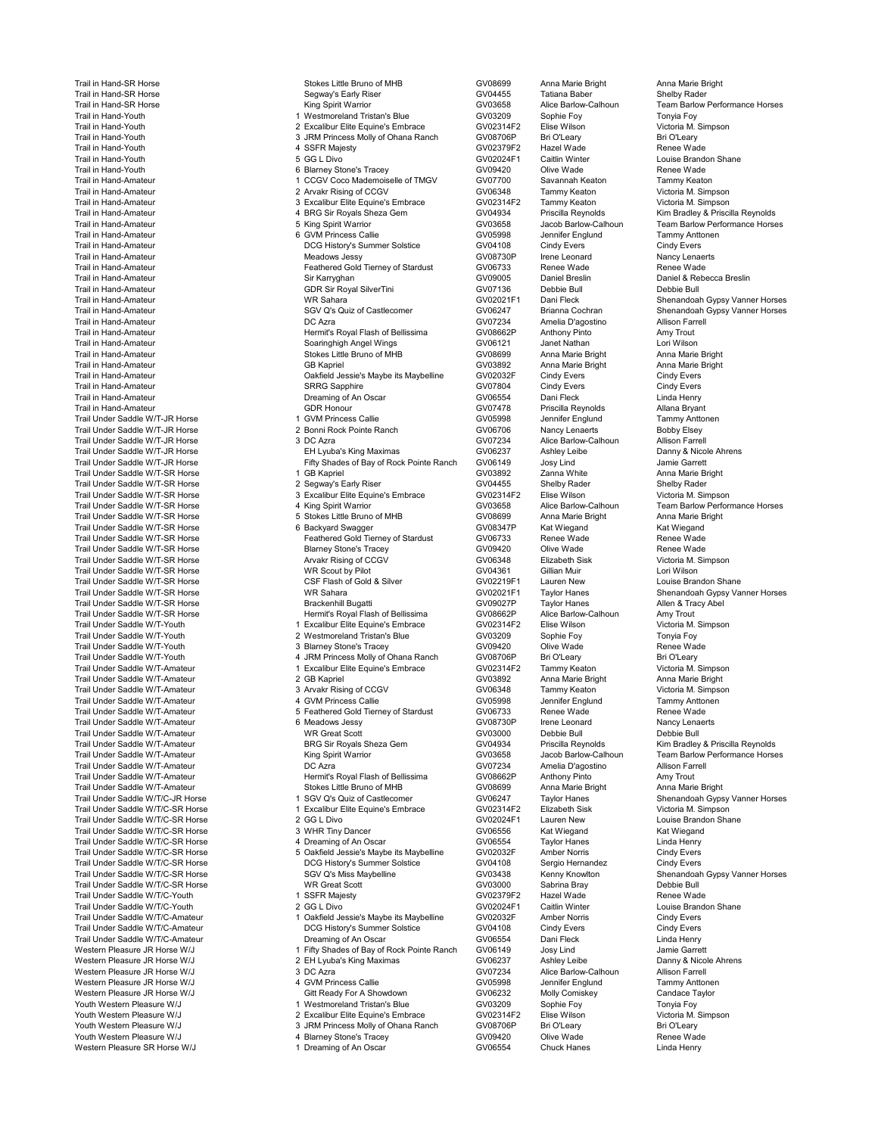Trail Under Saddle W/T/C-SR Horse Western Pleasure JR Horse W/J Youth Western Pleasure W/J 4 Blarney Stone's Tracey (GV09420 Olive Wade Renee Wade Renee Wade Renee Wade Renee Wad<br>Western Pleasure SR Horse W/J 1 Dreaming of An Oscar (GV06554 Chuck Hanes Linda Henry

Trail in Hand-SR Horse **Stokes Little Bruno of MHB** GV08699 Anna Marie Bright Anna Marie Bright Anna Marie Bright<br>Trail in Hand-SR Horse Shelby Rader Shelby Rader Sequent Shelby Rader Shelby Rader Trail in Hand-SR Horse Shelby Rader Segway's Early Riser Shelby Rader Shelby Rader Shelby Rader Shelby Rader Shelby Rader Shelby Rader Shelby Rader Shelby Rader Shelby Rader Shelby Rader Shelby Rader Shelby Rader Shelby Ra Trail in Hand-SR Horse **King Spirit Warrior** CV03658 Alice Barlow-Calhoun Team Barlow Performance Horses<br>Trail in Hand-Youth 1 Westmoreland Tristan's Blue GV03209 Sophie Foy Tonyia Foy<br>Trail in Hand-Youth 1 Simpson 2 Excal Trail in Hand-Youth 1 Mestmoreland Tristan's Blue GV03209 Sophie Foy Sophie Foy Tonyia Foy Trail in Hand-Youth 2 Excalibur Elite Equine's Embrace CV02314F2 Elise Wilson Victoria M.<br>2 Trail in Hand-Youth 2 Bri O'Leary 3 JRM Princess Molly of Ohana Ranch GV08706P Bri O'Leary Bri O'Leary Trail in Hand-Youth 3 JRM Princess Molly of Ohana Ranch GV08706P Bri O'Leary Bri O'Leary Trail in Hand-Youth 4 SSFR Majesty GV02379F2 Hazel Wade Renee Wade Trail in Hand-Youth 1992 (Controlled the Section of Section 1992)<br>Trail in Hand-Youth 1996 (Controlled the Section 1992)<br>Trail in Hand-Youth 1996 (CV09420 Shaney Stone's Tracey 1992) (GV09420 Olive Wade 1999 Renee Wade Trail in Hand-Youth 6 Blarney Stone's Tracey GV09420 Olive Wade Renee Wade Trail in Hand-Amateur 1 COGV Coco Mademoiselle of TMGV GV07700 Savannah Keaton Tammy Keaton 1 Tammy Keaton 1 COGV Coco Mademoiselle of TMGV GV06348 Tammy Keaton Victoria M. Simpson 2 Arvakr Rising of CCGV GV06348 Tammy Kea Trail in Hand-Amateur 2 Arvakr Rising of CCGV GV06348 Tammy Keaton Victoria M. Simpson Trail in Hand-Amateur 3 Excalibur Elite Equine's Embrace GV02314F2 Tammy Keaton Victoria M. Simpson Trail in Hand-Amateur 4 BRG Sir Royals Sheza Gem Control County Control of the Strain Hand-Amateur 4 BRG Sir Royals Sheza Gem CV04934 Priscilla Reynolds Kim Bradley & Priscilla Reynolds Control of the Strain Hand-Amateur 4 Trail in Hand-Amateur 5 King Spirit Warrior GV03658 Jacob Barlow-Calhoun Team Barlow Performance Horses<br>Trail in Hand-Amateur 6 GVM Princess Callie GV05998 Jennifer Trail in Hand-Amateur 6 GVM Princess Callie GV05998 Jennifer Englund Tammy Anttonen DCG History's Summer Solstice GV04108 Cindy Evers Cindy Evers Cindy Evers Cindy Evers Cindy Evers Cindy Evers Cindy Evers Cindy Evers Cindy Evers Cindy Evers Cindy Evers Cindy Evers Cindy Evers Cindy Evers Cindy Evers Cind Trail in Hand-Amateur **Meadows Jessy SY08730P** Irene Leonard Nancy Lenaerts (SAL)<br>Trail in Hand-Amateur Renee Wade Trail in Hand-Amateur **Feathered Gold Tierney of Stardust** GV06733 Renee Wade Renee Wade<br>Trail in Hand-Amateur **Feathere Cold Tierney Sir Karryghan** GV09005 Daniel Breslin Daniel & Rebecca Breslin Trail in Hand-Amateur Sir Karryghan GV09005 Daniel Breslin Daniel & Rebecca Breslin Trail in Hand-Amateur GDR Sir Royal SilverTini GV07136 Debbie Bull Debbie Bull Trail in Hand-Amateur WR Sahara GV02021F1 Dani Fleck Shenandoah Gypsy Vanner Horses Trail in Hand-Amateur Group (SV06247 Brianna Cochran Shenandoah Gypsy Vanner Horses<br>Trail in Hand-Amateur GV07234 Amelia D'agostino Allison Farrell Trail in Hand-Amateur **Contrained Trail in Hand-Amateur Contrained Contrained Contrained Contrained Contrained A**<br>Trail in Hand-Amateur Allison Farrell Contrained Hermit's Royal Flash of Bellissima GV07234 Amelia D'agostin Trail in Hand-Amateur Hermit's Royal Flash of Bellissima GV08662P Anthony Pinto Amy Trout Trail in Hand-Amateur Soaringhigh Angel Wings GV06121 Janet Nathan Lori Wilson Trail in Hand-Amateur Stokes Little Bruno of MHB GV08699 Anna Marie Bright Anna Marie Bright Anna Marie Bright Trail in Hand-Amateur GB Kapriel GV03892 Anna Marie Bright Anna Marie Bright Trail in Hand-Amateur Oakfield Jessie's Maybe its Maybelline GV02032F Cindy Evers Cindy Evers Trail in Hand-Amateur SRRG Sapphire GV07804 Cindy Evers Cindy Evers Trail in Hand-Amateur Dreaming of An Oscar GV06554 Dani Fleck Linda Henry Trail in Hand-Amateur GDR Honour GV07478 Priscilla Reynolds Allana Bryant Trail Under Saddle W/T-JR Horse 1 GVM Princess Callie 1 GV05998 Jennifer Englund Tammy Anttoner Trail Under Saddle W/T-JR Horse 2 Bonni Rock Pointe Ranch CV06706 Nancy Lenaerts Bobby Elsey Trail Under Saddle W/T-JR Horse 3 DC Azra GV07234 Alice Barlow-Calhoun Allison Farrell Trail Under Saddle W/T-JR Horse Trail Under Saddle W/T-JR Horse Trail Under Saddle W/T-JR Horse Trail Under Saddle W/T-JR Horse EH Lyuba's King Maximas GV06237 Ashley Leibe Danny & Nicole Ahrense Company & Nicole Ahrense C Tifty Shades of Bay of Rock Pointe Ranch GV06149 Josy Lind Jamie Garrett<br>1 GB Kapriel GV03892 Zanna White Anna Marie Bright Trail Under Saddle W/T-SR Horse 1 GB Kapriel GV03892 Zanna White Anna Marie Bright Trail Under Saddle W/T-SR Horse 2 Segway's Early Riser GV04455 Shelby Rader Shelby Rader Trail Under Saddle W/T-SR Horse 3 Excalibur Elite Equine's Embrace GV02314F2 Elise Wilson Victoria M. Simpson Trail Under Same Trail Under Saddle W/T-SR Horse 4 King Spirit Warrior Calhoun<br>The Stokes Little Bruno of MHB GV08699 Anna Marie Bright Anna Marie Bright Trail Under Saddle W/T-SR Horse 5 Stokes Little Bruno of MHB GV08699 Anna Marie Bright Anna Marie Bright Trail Under Saddle W/T-SR Horse 6 Backyard Swagger GV08347P Kat Wiegand Kat Wiegand Trail Under Saddle W/T-SR Horse Feathered Gold Tierney of Stardust GV06733 Renee Wade Renee Wade Trail Under Saddle W/T-SR Horse Commercial Commercial Commercial Commercial Commercial Commercial Commercial Commercial Commercial Commercial Commercial Commercial Commercial Commercial Commercial Commercial Commercial Com Trail Under Saddle W/T-SR Horse Arvakr Rising of CCGV GV06348 Elizabeth Sisk Victoria M.<br>Trail Under Saddle W/T-SR Horse WR Scout bv Pilot GV04361 Gillian Muir Trail Under Saddle W/T-SR Horse WR Scout by Pilot Millian Muit GV04361 Gillian Muir Lori Wilson Lori Wilson Co Trail Under Saddle W/T-SR Horse CSP Flash of Gold & Silver CCV COVID COVID Lauren New Louise Brandon Shane<br>Trail Under Saddle W/T-SR Horse Cover Vanney Vanner and All All All All Govern Cover Cover Cover Vannes Cover V VR Sahara Taylor Hanes Shenandoah Gypsy Vanner Horses Cames Shenandoah Gypsy Vanner Horses Cames Shenandoah Gypsy Vanner Horses Cames Shenandoah Gypsy Vanner Horses Cames Shenandoah Gypsy Vanner Horses Cames Shenandoah Gyp Trail Under Saddle W/T-SR Horse **Brackenhill Bugatti GV09027P** Taylor Hanes CV09027P Taylor Hanes Allen Barlow-Calhoun<br>Trail Under Saddle W/T-SR Horse **Brackenhill Bugatti Abelissima** GV08662P Alice Barlow-Calhoun Trail Under Saddle W/T-SR Horse Hermit's Royal Flash of Bellissima GV08662P Alice Barlow-Calhoun Amy Trout Trail Under Saddle W/T-Youth 1 Excalibur Elite Equine's Embrace GV02314F2 Elise Wilson Victoria M. Simpson Trail Under Saddle W/T-Youth 2 Westmoreland Tristan's Blue GV03209 Sophie Foy Tonyia Foy<br>Trail Under Saddle W/T-Youth 3 Blarney Stone's Tracey GV09420 Olive Wade Trail Under Saddle W/T-Youth 3 Blarney Stone's Tracey GV09420 Olive Wade Renee Wade Trail Under Saddle W/T-Youth 1990 of the American American Communication of Ohana Ranch GV08706P Bri O'Leary Bri O'Leary Bri O'Leary<br>1991 - Trail Under Saddle W/T-Amateur 1991 - Trail Discollibur Elite Equine's Embrace GV0 Trail University Control of the COVID-1 Excalibur Elite Equine's Embrace GV02314F2 Tammy Keaton Victoria M. Simpson<br>2 GB Kapriel Anna Marie Bright GV03892 Anna Marie Bright Anna Marie Bright Trail Under Saddle W/T-Amateur **2 GEXapriel 2 GV03892** Anna Marie Bright Anna Marie Bright Anna Marie Bright Anna<br>2 GV06348 Tammy Keaton Anna Marie Bright Anna Marie Bright Anna Marie Bright Anna Marie Bright Anna Marie Br Trail Under Saddle W/T-Amateur **3 Arvakr Rising of CCGV** CV06348 Tammy Keaton Victoria M. Simpson Communication<br>Trail Under Saddle W/T-Amateur 3 Arvakr Rising of CCGV CV06348 Tammy Keaton Victoria M. Simpson<br>Trail Under Sa Trail Under Saddle W/T-Amateur 1990 of the Same of Allie 4 GVM Princess Callie 1990 of GV05998 Jennifer Englund<br>1991 Trail Under Saddle W/T-Amateur 1991 of Steathered Gold Tierney of Stardust 1990/06733 Renee Wade 5 Feathered Gold Tierney of Stardust GV06733 Renee Wade Renee Wade Renee Wade CONTEN CONSTRIANG GOVERNAL RENEW<br>The GOLD Tierney of Stardust GV08730P Irene Leonard Nancy Lenaerts Trail Under Saddle W/T-Amateur 6 Meadows Jessy GV08730P Irene Leonard Nancy Lenaerts Trail Under Saddle W/T-Amateur Nething Communic Communic Communic Communic CV03000 Debbie Bull Debbie Bull Debbie Bull<br>Trail Under Saddle W/T-Amateur Nim Bradley Communic BRG Sir Royals Sheza Gem CGV04934 Priscilla Reynold Trail Under Saddle W/T-Amateur **BRG Sir Royals Sheza Gem** GV04934 Priscilla Reynolds Kim Bradley & Priscilla Reynolds<br>Trail Under Saddle W/T-Amateur **Bradley Constant Constant Constant Arist** GV03658 Jacob Barlow-Calhoun T King Spirit Warrior **Trail COM/T-Amateur COM/T-Amateur Comme** School Barlow-Calhoun Team Barlow Performance Horses<br>The GV07234 Amelia D'agostino Allison Farrell Trail Under Saddle W/T-Amateur DC Azra GV07234 Amelia D'agostino Allison Farrell Trail Under Same Trail Under Studies Hermit's Royal Flash of Bellissima CV08662P Anthony Pinto Amy Trout Amateur Hermito Studies Studies Company Anna Marie Bright Anna Marie Bright Trail Under Saddle W/T-Amateur Stokes Little Bruno of MHB GV08699 Anna Marie Bruno of MHB<br>Trail Under Saddle W/T/C-JR Horse Stokes Anna Marie Anna Marie Bright Anna Marie B Trail Under Saddle W/T/C-JR Horse 1 SGV Q's Quiz of Castlecomer CV06247 Taylor Hanes Shenandoah Gypsy Vanner Horses<br>1 Shenandoah Gypsy Vanner Horses 1 Skralibur Elite Equine's Embrace GV02314F2 Elizabeth Sisk Victoria M. S Trail Under Sammen Sammen Saddle World University Construction Excalibur Elite Equine's Embrace 1 GV02024F1 Lauren New Louise Brandon Shane Trail Under Saddle W/T/C-SR Horse 2 GG L Divo GV02024F1 Lauren New Louise Brandon Shane Trail Under Saddle W/T/C-SR Horse 4 Dreaming of An Oscar Linda Henry<br>Trail Under Saddle W/T/C-SR Horse 5 Oakfield Jessie's Maybe its Maybelline GV02032F Amber Norris Trail Under Saddle Wayde Witch-Saddle School of Under School Under School of Under School of Under School of U<br>The GV04108 Sergio Hernandez Cindy Evers Cindy Evers Trail Under Saddle W/T/C-SR Horse **DEG History's Summer Solstice C**GV04108 Sergio Hernandez Cindy Evers<br>Trail Under Saddle W/T/C-SR Horse Sammer Horses SGV Q's Miss Maybelline GV03438 Kenny Knowlton Shenandoah Gypsy Vanner Trail Under Saddle W/T/C-SR Horse SGV Q's Miss Maybelline Shenandoah GV03438 Kenny Knowlton Shenandoah Gypsy Vanner Horsessen Shenandoah Gypsy Vanner Horsessen Shenandoah Gypsy Vanner Horsessen Shenandoah Gypsy Vanner Hors Trail Under Saddle W/T/C-SR Horse National Communication of Scott GV03000 Sabrina Bray Debbie Bull<br>Trail Under Saddle W/T/C-Youth Genee Wade 1990 STAT Maiesty Communication of GV02379F2 Hazel Wade Renee Wade Trail Under Saddle W/T/C-Youth 1 State 1 SSFR Majesty 1 State COMEN COMENT Hazel Wade Renee Wade Renee Wade Re<br>Trail Under Saddle W/T/C-Youth 1 State 1 State 1 State 2 GC L Divo Trail Under Saddle W/T/C-Youth 2 GG L Divo Care Cover CV02024F1 Caitlin Winter Louise Brandon Covers 2 GG L Divo<br>2 GV02032F Amber Norris Cindy Evers 1 Oakfield Jessie's Maybe its Maybelline GV02032F Amber Norris Cindy Ever Trail Under Saddle With the Under State Oriental Conducts of Cindy Evers<br>Trail Under School of Cindy Evers Cindy Evers<br>DCG History's Summer Solstice GV04108 Cindy Evers Cindy Evers Trail Under Saddle W/T/C-Amateur **Calculation Construct Construct Construct Construct Construct Construct Const**<br>Trail Under Saddle W/T/C-Amateur **Cindy Evers Cindy Evers Cindy Evers** Cindy Evers Cindy Evers Cindy Evers<br>Tr Trail Under Saddle W/T/C-Amateur Dreaming of An Oscar GV06554 Dani Fleck Linda Henry 1 Fifty Shades of Bay of Rock Pointe Ranch GV06149 Josy Lind Jamie Garrett<br>2 EH Lyuba's King Maximas GV06237 Ashley Leibe Danny & Nicole Ahrens Western Pleasure JR Horse W/J 2 EH Lyuba's King Maximas CV06237 Ashley Leibe Danny & Nicole Ahrensive Danny & Nicole Ahrensive Danny & Nicole Atlison Farrell<br>Western Pleasure JR Horse W/J 3 DC Azra 2000 25 Anransive CV0723 Western Pleasure JR Horse W/J 3 DC Azra GV07234 Alice Barlow-Calhoun Allison Farrell Western Pleasure JR Horse W/J Comistern Communic Communic Communic Communic Communic Communic Communic Candace Taylor<br>Mouth Western Pleasure W/J Communic Communic Communication of Westmoreland Tristan's Blue Communic Compu Youth Western Pleasure W/J 1 Westmoreland Tristan's Blue GV03209 Sophie Foy Tonyia Foy<br>Youth Western Pleasure W/J 2 Excalibur Elite Equine's Embrace GV02314F2 Elise Wilson Youth Western Pleasure W/J 2 Excalibur Elite Equine's Embrace GV02314F2 Elise Wilson Victoria M. Simpson Volks Analyof Ohana Ranch GV08706P Bri O'Leary Bri O'Leary<br>19 Jamey Stone's Tracey Bri O'Chana Bri O'Chana Bri Olive Wade Bri O'Leary Bri O'Leary

1 Dreaming of An Oscar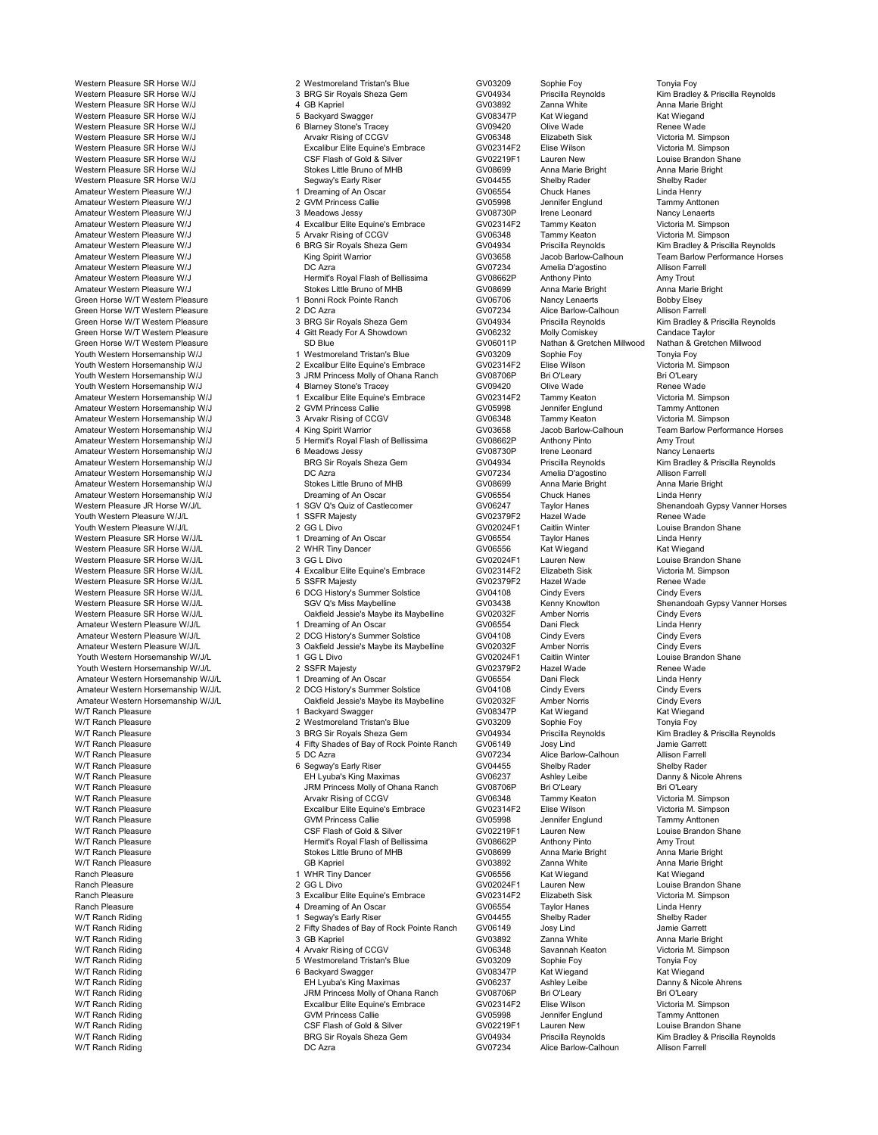Western Pleasure SR Horse W/J **4 GB Kapriel COVID 1999** GV03892 Zanna White Anna Marie Bright Anna Marie Bright<br>1999 - Western Pleasure SR Horse W/J **6 March 2010 1999 - State Anna Marie Bright Anna Marie Bright Anna Marie** Western Pleasure SR Horse W/J 5 Backyard Swagger COV08347P Kat Wiegand Kat Wiegand Kat Wiegand<br>GV09420 Olive Wade GV Renee Wade Renee Wade Western Pleasure SR Horse W/J 6 Blarney Stone's Tracey GV09420 Olive Wade Renee Wade Western Pleasure SR Horse W/J Arvakr Rising of CCGV GV06348 Elizabeth Sisk Victoria M. Simpson Western Pleasure SR Horse W/J CSF Flash of Gold & Silver Companies COVID-1990 COVID-1990 Louise Brandon Shane<br>Companies Brandon Shane Gold & Silver GV02219F1 Lauren New Louise Brandon Shane Bright<br>Western Pleasure SR Horse Western Pleasure SR Horse W/J Stokes Little Bruno of MHB GV08699 Anna Marie Bright Anna Marie Bright Anna Marie B<br>Western Pleasure SR Horse W/J Sequay's Early Riser Shelby Rader Shelby Rader Shelby Rader Western Pleasure SR Horse W/J Segway's Early Riser GV04455 Shelby Rader Shelby Rader Amateur Western Pleasure W/J 2 GVM Princess Callie 2000 CV05998 Jennifer Englund Tammy Anttonen<br>Amateur Western Pleasure W/J 2 GVM Princess Callie GV05998 Jennifer Englund Tammy Anttonen<br>Amateur Western Pleasure W/J 3 Mead Amateur Western Pleasure W/J 3 Meadows Jessy GV08730P Irene Leonard Nancy Lenaerts Amateur Western Pleasure W/J 6 Arvakr Rising of CCGV 6348 Tammy Keaton COV 6348 Tammy Keaton COV<br>4 GV04934 Priscilla Reynolds COV 6 GRG Sir Royals Sheza Gem Amateur Western Pleasure W/J 6 BRG Sir Royals Sheza Gem Correct Communication of the Structure of the Structur<br>Amateur Western Pleasure W/J King Spirit Warrior (GV03658 Jacob Barlow-Calhoun Team Barlow Performance Horse Amateur Western Pleasure W/J **King Spirit Warrior** CV03658 Jacob Barlow-Calhoun Team Barlow Performance Horses<br>Amateur Western Pleasure W/J CAzra DC Azra CV07234 Amelia D'agostino Allison Farrell Amateur Western Pleasure W/J DC Azra GV07234 Amelia D'agostino Allison Farrell Amateur Western Pleasure W/J<br>Amateur Western Pleasure W/J **Hermit's Royal Flash of Bellissima** GV08662P Anthony Pinto Amy Trout<br>Amateur Western Pleasure W/J Stokes Little Bruno of MHB GV08699 Anna Marie Bright Anna Marie B Green Horse W/T Western Pleasure 1 2006 1 Bonni Rock Pointe Ranch 1 2006 2006 2006 2012<br>Green Horse W/T Western Pleasure 1 Bonni Rock Pointe Ranch 1 2006 2006 2006 2012<br>Green Horse W/T Western Pleasure 2 DC Azra 2 DC Azra Green Horse W/T Western Pleasure Creen Areas and the 2 DC Azra Creen Creen Creen Alice Barlow-Calhoun Allison Farrell<br>Green Horse W/T Western Pleasure 2 DC Azra 2 DC Azra Gem GV07234 Alice Barlow-Calhoun Allison Farrell<br>Gr Green Horse W/T Western Pleasure **3 BRG Sir Royals Sheza Gem** GV04934 Priscilla Reynolds Kim Bradley & P<br>3 Green Horse W/T Western Pleasure **3 A Git Ready For A Showdown** GV06232 Molly Comiskey Candace Taylor Green Horse W/T Western Pleasure SD Stue SO Blue GV06011P Nathan & Gretchen Millwood Nathan & Gretchen Millwood<br>Muth Western Horsemanship W/J Sonyia Foy 1990 Sophie Foy Sophie Foy Sophie Foy Tonyia Foy Youth Western Horsemanship W/J 1 Westmoreland Tristan's Blue GV03209 Sophie Foy Tonyia Foy Youth Western Horsemanship W/J 2 Excalibur Elite Equine's Embrace CV02314F2 Elise Wilson Victoria M.<br>19 Youth Western Horsemanship W/J 3 JRM Princess Molly of Ohana Ranch GV08706P Bri O'Leary Bri O'Leary Youth Western Horsemanship W/J 4 Blarney Stone's Tracey GV09420 Olive Wade Renee Wade<br>Amateur Western Horsemanship W/J 1 Excalibur Elite Equine's Embrace GV02314F2 Tammy Keaton Amateur Western Horsemanship W/J 1 Excalibur Elite Equine's Embrace GV02314F2 Tammy Keaton Victoria M. Simpson<br>1 Expedient American Structure of Communication Communication Communication of Communication of Simpson Antto<br>1 Amateur Western Horsemanship W/J 2 GVM Princess Callie CV05998 Jennifer Englund Tammy Anttonen<br>Amateur Western Horsemanship W/J 3 Arvakr Rising of CCGV GV06348 Tammy Keaton Victoria M. Simpson Amateur Western Horsemanship W/J 3 Arvakr Rising of CCGV 66348 Tammy Keaton Victoria M. Simpson (Victoria M. Simpson<br>Amateur Western Horsemanship W/J 4 King Spirit Warrior (GV03658 Jacob Barlow-Calhoun Team Barlow Performa Amateur Western Horsemanship W/J 4 King Spirit Warrior GV03658 Jacob Barlow-Calhoun Team Barlow Performance Horses Amateur Western Horsemanship W/J 5 Hermit's Royal Flash of Bellissima GV08662P Anthony Pinto Amy Trout Amateur Western Horsemanship W/J **Amateur Western Horsemanship W/J** 6 Meadows Jessy Consumer CONSTONE IRENE CONSTONER<br>Amateur Western Horsemanship W/J **6 Meadows Jessy GV08730P** Irene Leonard Nancy Lenaerts<br>Amateur Western Amateur Western Horsemanship W/J BRG Sir Royals Sheza Gem GV04934 Priscilla Reynolds Kim Bradley & Priscilla Reynolds<br>Amateur Western Horsemanship W/J DC Azra DC Azra Gem GV07234 Amelia D'agostino Allison Farrell Amateur Western Horsemanship W/J DC Azra DOC Azra COVO7234 Amelia D'agostino Allison Farrell<br>Amateur Western Horsemanship W/J Stokes Little Bruno of MHB GV08699 Anna Marie Bright Anna Marie Bright Amateur Western Horsemanship W/J Stokes Little Bruno of MHB GV08699 Anna Marie Bright Anna Marie I<br>Amateur Western Horsemanship W/J Dreaming of An Oscar GV06554 Chuck Hanes Amateur Western Horsemanship W/J Dreaming of An Oscar GV06554 Chuck Hanes CHuck Hanes Linda Henry Chuck Hanes Linda Henry Chuck Hanes Linda Henry Chuck Hanes Linda Henry Chuck Hanes Linda Henry Chuck Hanes Linda Henry Henr Western Pleasure JR Horse W/J/L 1 SGV Q's Quiz of Castlecomer CV06247 Taylor Hanes Shenandoah Gypsy Vanner Horses<br>1 Shenandoah Gypsy Vanner Horses SSFR Majesty Shenandoad GV02379F2 Hazel Wade Renee Wade Youth Western Pleasure W/J/L 1 SSFR Majesty GV02379F2 Hazel Wade Renee Wade Youth Western Pleasure W/J/L **All 2 COM A CONSTAND CONSTAND CONSTAND C**ONSTAND Caitlin Winter Louise Brandon Shane<br>2 GV06554 Taylor Horse Wall Clinda Henry (India Henry 1 Dreaming of An Oscar Constant Constant Constant Tay Western Pleasure SR Horse W/J/L 1 Dreaming of An Oscar Company Company Company Company of An Oscar Company Company<br>Mestern Pleasure SR Horse W/J/L 1 2 WHR Tiny Dancer Company Company Company Company Company of An Oscar Com Western Pleasure SR Horse W/J/L 2 WHR Tiny Dancer GV06556 Kat Wiegand Kat Wiegand Western Pleasure SR Horse W/J/L 3 GG L Divo 3 GG L Divo<br>Western Pleasure SR Horse W/J/L 4 Excalibur Elite Equine's Embrace GV02314F2 Elizabeth Sisk Victoria M. Simpson Western Pleasure SR Horse W/J/L 5 SSFR Majesty 6 Stock CV02379F2 Hazel Wade Renee Wad<br>GV04108 Cindy Evers Cindy Fyers Cindy Fyers 6 DCG History's Summer Solstice GV04108 Cindy Evers Cindy Fyers Western Pleasure SR Horse W/J/L 6 DCG History's Summer Solstice GV04108 Cindy Evers Cindy Evers Cindy Evers Cindy Evers Cindy Evers Cindy Evers Cindy Evers Cindy Evers Cindy Evers Cindy Evers Cindy Evers Cindy Evers Cindy Western Pleasure SR Horse W/J/L **Carry Communist Communist Communist Communist Communist Communist Communist Com**<br>Amateur Western Pleasure W/J/L **Amber 10 and State Communist Communist Communist Communist Communist Communi** Amateur Western Pleasure W/J/L 1 Dreaming of An Oscar CV06554 Dani Fleck Linda Henry<br>Amateur Western Pleasure W/J/L 2 DCG History's Summer Solstice GV04108 Cindy Evers Cindy Evers Amateur Western Pleasure W/J/L 2 DCG History's Summer Solstice CV04108 Cindy Evers Cindy Evers Cindy Evers Cindy Evers Cindy Evers Cindy Evers Cindy Evers Cindy Evers Cindy Evers 3 Oakfield Jessie's Maybe its Maybelline GV Youth Western Horsemanship W/J/L 1 GG L Divo 1 Company CV02024F1 Caitlin Winter Louise Brand<br>1 SSFR Majesty COV02379F2 Hazel Wade Renee Wade Youth Western Horsemanship W/J/L 2 SSFR Majesty 2 2 SSFR Majesty GV02379F2 Hazel Wade Renee Wade Renee Wade Renee Wade Renee Wade Renee Wade Renee Wade Renee Wade Renee Wade Renee Wade Renee Wade Renee Wade Renee Wade Rene Amateur Western Horsemanship W/J/L 1 Dreaming of An Oscar Casar CV06554 Dani Fleck Linda Henry<br>1 Dreaming Orient Danis Dreaming Oriental Dreaming of An Oscar Colstice CV04108 Cindy Evers Cindy Evers Cindy Amateur Western Horsemanship W/J/L 2 DCG History's Summer Solstice and CV04108 Cindy Evers Cindy Evers Cindy Evers<br>Amateur Western Horsemanship W/J/L 2 DCG History's Summer Solstice GV02032F Amber Norris Cindy Evers Cindy Amateur Western Horsemanship W/J/L (Dakfield Jessie's Maybe its Maybelline GV02032F Amber Norris Cindy Evers<br>1 Backyard Swagger (GV08347P Kat Wiegand Kat Wiegand W/T Ranch Pleasure 1 Backyard Swagger GV08347P Kat Wiegand Kat Wiegand W/T Ranch Pleasure 2 Westmoreland Tristan's Blue GV03209 Sophie Foy Tonyia Foy W/T Ranch Pleasure **4 Fifty Shades of Bay of Rock Pointe Ranch** GV06149 Josy Lind Jamie Garrett<br>4 Fifty Shades of Bay of Rock Pointe Ranch Alice Barlow-Calhoun Allison Farrell W/T Ranch Pleasure 5 DC Azra GV07234 Alice Barlow-Calhoun Allison Farrel W/T Ranch Pleasure GB Kapriel GV03892 Zanna White Anna Marie Bright Ranch Pleasure 1 WHR Tiny Dancer 1 WHR Tiny Dancer CV06556 Kat Wiegand Kat Wiegand Kat Wiegand CV02024F1 Lauren New Ranch Pleasure 2 GG L Divo 2 GG L Divo GV02024F1 Lauren New Louise Brandon Shane<br>2 GC Lauren New GY02314F2 Elizabeth Sisk Victoria M. Simpson Ranch Pleasure 3 Excalibur Elite Equine's Embrace GV02314F2 Elizabeth Sisk Victoria M. Simpson Cover 1997<br>19 A Dreaming of An Oscar GV06554 Taylor Hanes Linda Henry Ranch Pleasure 4 Dreaming of An Oscar GV06554 Taylor Hanes Linda Henry W/T Ranch Riding 1 Segway's Early Riser GV04455 Shelby Rader Shelby Rader W/T Ranch Riding and Control of The Care of Bay of Presence of Bay of Rock Pointe Ranch GV06149 Josy Lind Jamie Garrett<br>2 Fifty Shades of Bay of Rock Pointe Ranch GV06149 Josy Lind Jamie Garrett<br>2 GV03892 Zanna White Anna W/T Ranch Riding 3 GB Kapriel GV03892 Zanna White Anna Marie Bright W/T Ranch Riding 4 Arvakr Rising of CCGV GV06348 Savannah Keaton Victoria M. Simpson W/T Ranch Riding Company of Backyard Swagger (GV08347P Kat Wiegand Kat Wiegand Kat Wiegand Company & Nicole Ahrens<br>M/T Ranch Riding Company & Nicole Ahrens (EH Lyuba's King Maximas CV06237 Ashley Leibe Company & Nicole Ahr W/T Ranch Riding EH Lyuba's King Maximas GV06237 Ashley Leibe Danny & Nicole Ahre<br>W/T Ranch Riding JRM Princess Molly of Ohana Ranch GV08706P Bri O'Leary Bri W/T Ranch Riding CSF Flash of Gold & Silver GV02219F1 Lauren New Louise Brandon Shane W/T Ranch Riding Communication Supervention of the Sanch Communication Scheza Gem Communication Communication Scheza Gem GV04934 Priscilla Reynolds Minison Farrell<br>W/T Ranch Riding Communication Scheza DC Azra Communicatio

- 
- 
- 
- Excalibur Elite Equine's Embrace GV02314F2 Elise Wilson Victoria M. Simpson<br>CSF Flash of Gold & Silver CSV02219F1 Lauren New Louise Brandon Shane
- Amateur Western Pleasure W/J 1 Dreaming of An Oscar GV06554 Chuck Hanes Linda Henry
- 
- 
- 
- 
- 
- 
- 
- 
- 
- 
- 
- 
- 
- 
- 
- 
- 
- 
- 
- 
- 
- 
- 
- 
- 
- 
- 
- 
- 
- 
- 
- 
- 
- 
- 
- 
- 
- 
- W/T Ranch Pleasure 3 BRG Sir Royals Sheza Gem GV04934 Priscilla Reynolds Kim Bradley & Priscilla Reynolds<br>3 BRG Sir Royals Sheza Group GV06149 Josy Lind Jamie Garrett Jamie Garrett
	-
- W/T Ranch Pleasure 6 Segway's Early Riser GV04455 Shelby Rader Shelby Rader W/T Ranch Pleasure EH Lyuba's King Maximas GV06237 Ashley Leibe Danny & Nicole Ahrens W/T Ranch Pleasure JRM Princess Molly of Ohana Ranch GV08706P Bri O'Leary Bri O'Leary W/T Ranch Pleasure Communication of COST Arvakr Rising of CCGV COV GV06348 Tammy Keaton Correction M. Simpson<br>M/T Ranch Pleasure Correction of Excalibur Elite Equine's Embrace GV02314F2 Elise Wilson Victoria M. Simpson W/T Ranch Pleasure Excalibur Elite Equine's Embrace GV02314F2 Elise Wilson Victoria M. Simpson W/T Ranch Pleasure GVM Princess Callie GV05998 Jennifer Englund Tammy Anttoner W/T Ranch Pleasure CSF Flash of Gold & Silver GV02219F1 Lauren New Louise Brandon Shane W/T Ranch Pleasure Hermit's Royal Flash of Bellissima GV08662P Anthony Pinto Amy Trout<br>W/T Ranch Pleasure Stokes Little Bruno of MHB GV08699 Anna Marie Bright Ann
	-
	-
	-
	-
	-
	-
	-
- W/T Ranch Riding 5 Westmoreland Tristan's Blue GV03209 Sophie Foy Tonyia Foy
- W/T Ranch Riding The State of the State of State JRM Princess Molly of Ohana Ranch GV08706P Bri O'Leary Bri O'Leary<br>M/T Ranch Riding The State of The State of Excalibur Elite Equine's Embrace GV02314F2 Elise Wilson W/T Ranch Riding Excalibur Elite Equine's Embrace GV02314F2 Elise Wilson Victoria M. Simpson W/T Ranch Riding GVM Princess Callie GV05998 Jennifer Englund Tammy Anttonen
- 

Western Pleasure SR Horse W/J **2** Westmoreland Tristan's Blue GV03209 Sophie Foy Tonyia Foy<br>19 3 BRG Sir Royals Sheza Gem GV04934 Priscilla Reynolds Kim Bradle Amateur Elite Equine's Embrace GV02314F2 Tammy Keaton Victoria M. Simpson<br>1990 - GV06348 Tammy Keaton Victoria M. Simpson Shows Reaton Victoria M. Simpson Amateur Western Pleasure Western Pleasure Wilson Pleasure Wilson Pleasure Prince Control of MHB COV08699 Anna Marie Bright Anna Marie Bright Anna Marie Bright Anna Marie Bright Anna Marie Bright Anna Marie Bright Anna Mari Volks Wolly of Ohana Ranch GV08706P Bri O'Leary Bri O'Leary<br>4 Blarney Stone's Tracey GV09420 GW09420 Olive Wade Renee Wade verwer Pleasure SR Horse GV02314F2 Elizabeth Sisk Victoria M. Si<br>1991 - GV02314F2 Elizabeth Sisk Victoria M. Si<br>1991 - GV02379F2 Hazel Wade Amber Norris Cindy Evers Cindy Evers<br>1 GG L Divo Cindy Evers Computer Califin Winter Califin Computer Calific Cindy Evers Louise Brandon Shane Alice Barlow-Calhoun

Western Pleasure Schemen (COVID-1994 Priscilla Reynolds Min Bradley & Priscilla Reynolds (COVID-1994 Priscilla Reynolds Min Bradley & Priscilla Reynolds (COVID-1994 Priscilla Reynolds Min Bradley & Priscilla Reynolds (COVI 4 Gitt Ready For A Showdown GV06232 Molly Comiskey Candace Taylor<br>SD Blue CV06011P Nathan & Gretchen Millwood Nathan & Gretchen Millwood Western Pleasure SR Horse W/J/L SGV Q's Miss Maybelline GV03438 Kenny Knowlton Shenandoah Gypsy Vanner Horses